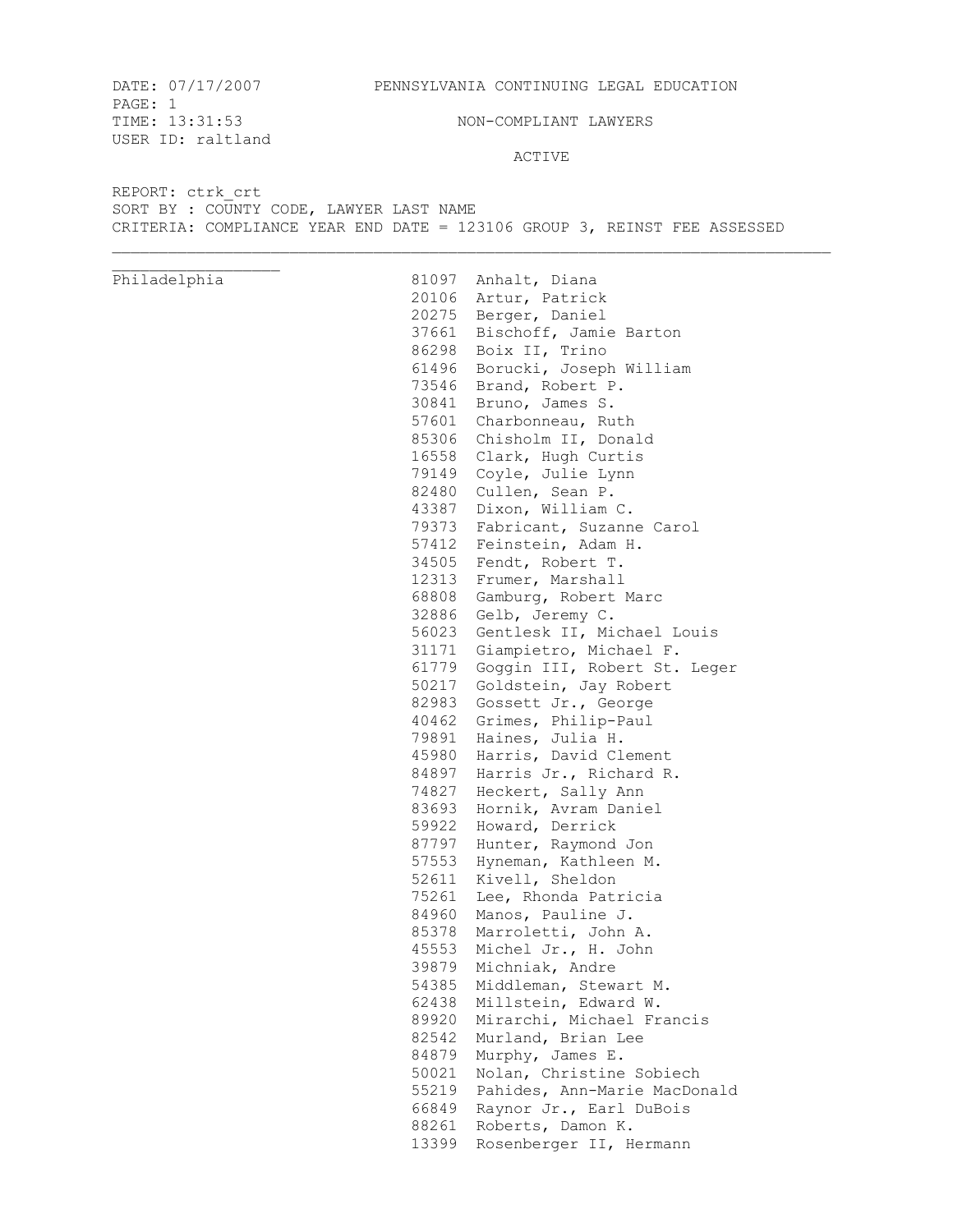PAGE: 1 TIME:  $13:31:53$  NON-COMPLIANT LAWYERS USER ID: raltland

ACTIVE

REPORT: ctrk\_crt SORT BY : COUNTY CODE, LAWYER LAST NAME CRITERIA: COMPLIANCE YEAR END DATE = 123106 GROUP 3, REINST FEE ASSESSED

Philadelphia 81097 Anhalt, Diana 20106 Artur, Patrick 20275 Berger, Daniel 37661 Bischoff, Jamie Barton 86298 Boix II, Trino 61496 Borucki, Joseph William 73546 Brand, Robert P. 30841 Bruno, James S. 57601 Charbonneau, Ruth 85306 Chisholm II, Donald 16558 Clark, Hugh Curtis 79149 Coyle, Julie Lynn 82480 Cullen, Sean P. 43387 Dixon, William C. 79373 Fabricant, Suzanne Carol 57412 Feinstein, Adam H. 34505 Fendt, Robert T. 12313 Frumer, Marshall 68808 Gamburg, Robert Marc 32886 Gelb, Jeremy C. 56023 Gentlesk II, Michael Louis 31171 Giampietro, Michael F. 61779 Goggin III, Robert St. Leger 50217 Goldstein, Jay Robert 82983 Gossett Jr., George 40462 Grimes, Philip-Paul 79891 Haines, Julia H. 45980 Harris, David Clement 84897 Harris Jr., Richard R. 74827 Heckert, Sally Ann 83693 Hornik, Avram Daniel 59922 Howard, Derrick 87797 Hunter, Raymond Jon 57553 Hyneman, Kathleen M. 52611 Kivell, Sheldon 75261 Lee, Rhonda Patricia 84960 Manos, Pauline J. 85378 Marroletti, John A. 45553 Michel Jr., H. John 39879 Michniak, Andre 54385 Middleman, Stewart M. 62438 Millstein, Edward W. 89920 Mirarchi, Michael Francis 82542 Murland, Brian Lee 84879 Murphy, James E. 50021 Nolan, Christine Sobiech 55219 Pahides, Ann-Marie MacDonald 66849 Raynor Jr., Earl DuBois 88261 Roberts, Damon K. 13399 Rosenberger II, Hermann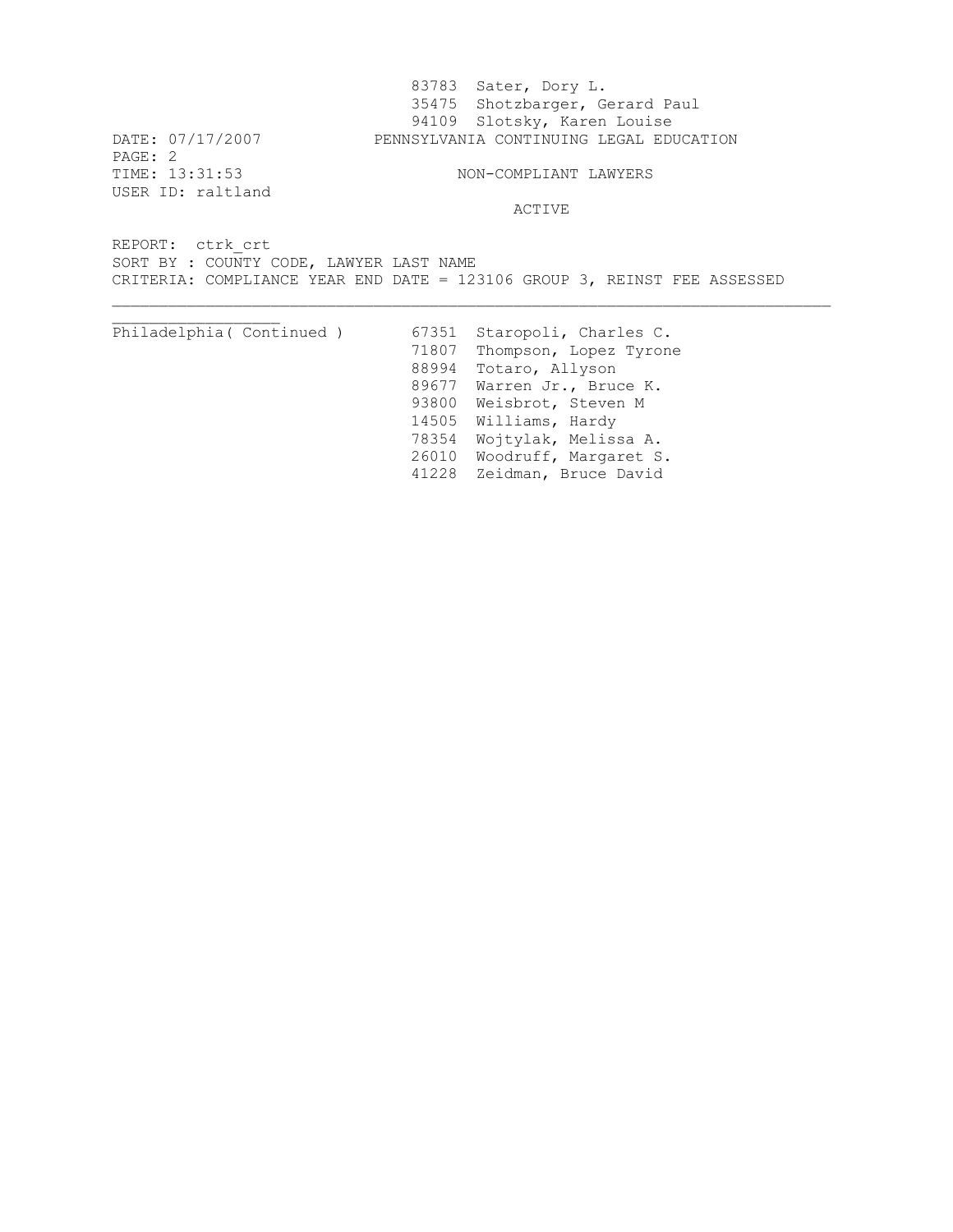83783 Sater, Dory L. 35475 Shotzbarger, Gerard Paul 94109 Slotsky, Karen Louise DATE: 07/17/2007 PENNSYLVANIA CONTINUING LEGAL EDUCATION PAGE: 2<br>TIME: 13:31:53 NON-COMPLIANT LAWYERS USER ID: raltland ACTIVE REPORT: ctrk\_crt SORT BY : COUNTY CODE, LAWYER LAST NAME CRITERIA: COMPLIANCE YEAR END DATE = 123106 GROUP 3, REINST FEE ASSESSED Philadelphia( Continued ) 67351 Staropoli, Charles C. 71807 Thompson, Lopez Tyrone 88994 Totaro, Allyson

89677 Warren Jr., Bruce K. 93800 Weisbrot, Steven M 14505 Williams, Hardy 78354 Wojtylak, Melissa A. 26010 Woodruff, Margaret S.

41228 Zeidman, Bruce David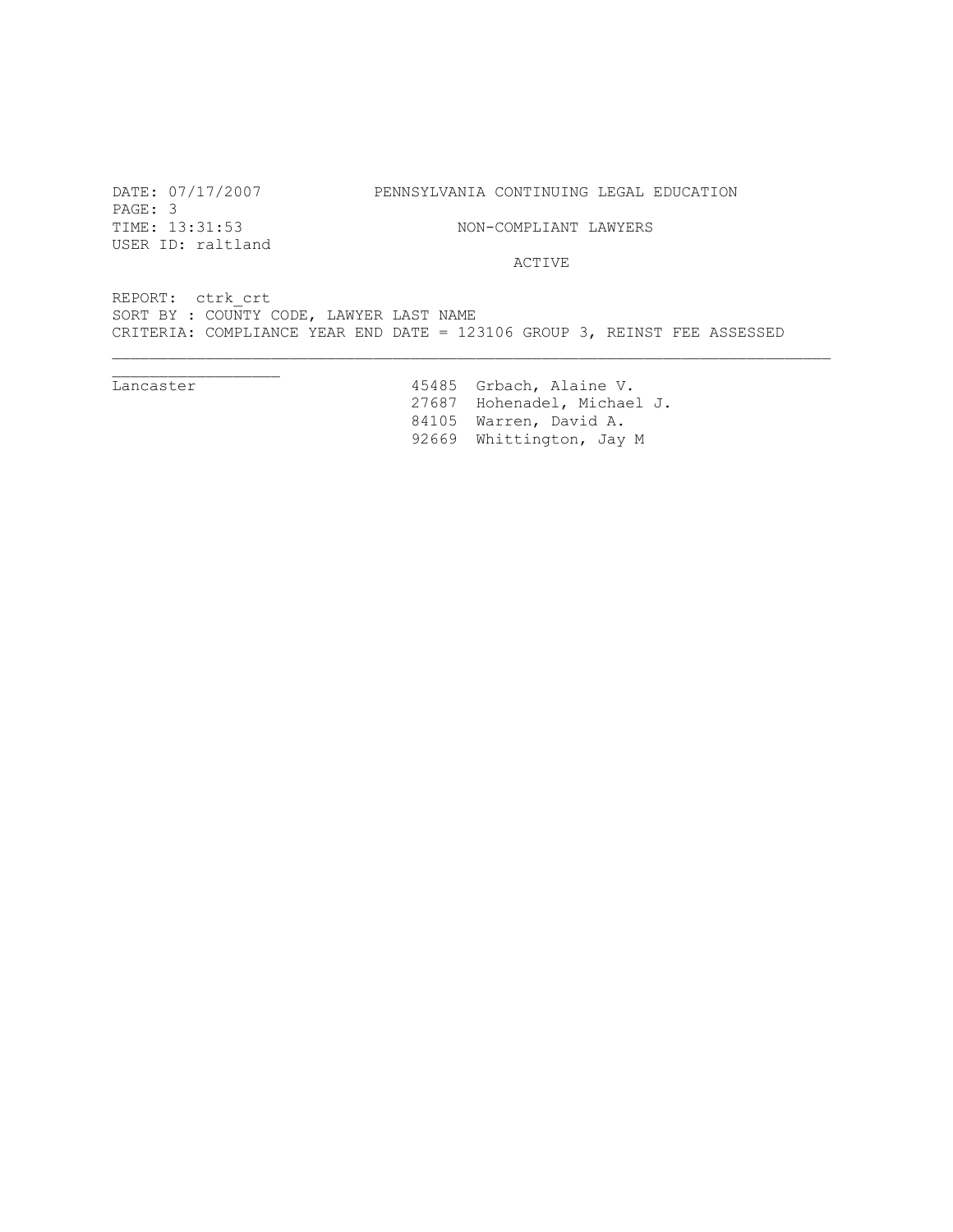PAGE: 3<br>TIME: 13:31:53 USER ID: raltland

 $\overline{\phantom{a}}$  , we can also the contract of  $\overline{\phantom{a}}$ 

DATE: 07/17/2007 PENNSYLVANIA CONTINUING LEGAL EDUCATION

NON-COMPLIANT LAWYERS

ACTIVE

REPORT: ctrk\_crt SORT BY : COUNTY CODE, LAWYER LAST NAME CRITERIA: COMPLIANCE YEAR END DATE = 123106 GROUP 3, REINST FEE ASSESSED

Lancaster 15485 Grbach, Alaine V. 27687 Hohenadel, Michael J. 84105 Warren, David A. 92669 Whittington, Jay M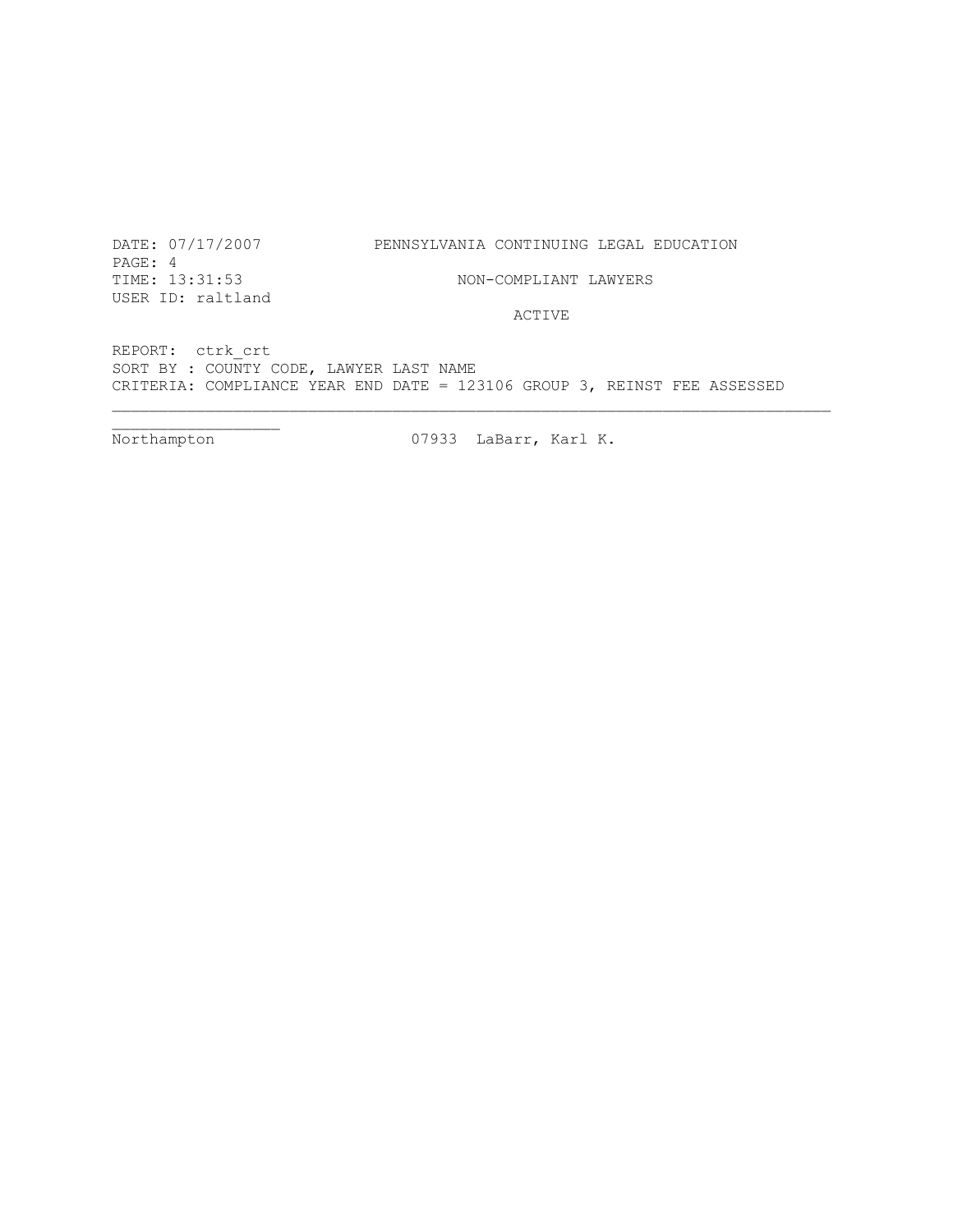DATE: 07/17/2007 PENNSYLVANIA CONTINUING LEGAL EDUCATION

PAGE: 4 TIME: 13:31:53 NON-COMPLIANT LAWYERS USER ID: raltland

ACTIVE

REPORT: ctrk\_crt SORT BY : COUNTY CODE, LAWYER LAST NAME CRITERIA: COMPLIANCE YEAR END DATE = 123106 GROUP 3, REINST FEE ASSESSED

Northampton 07933 LaBarr, Karl K.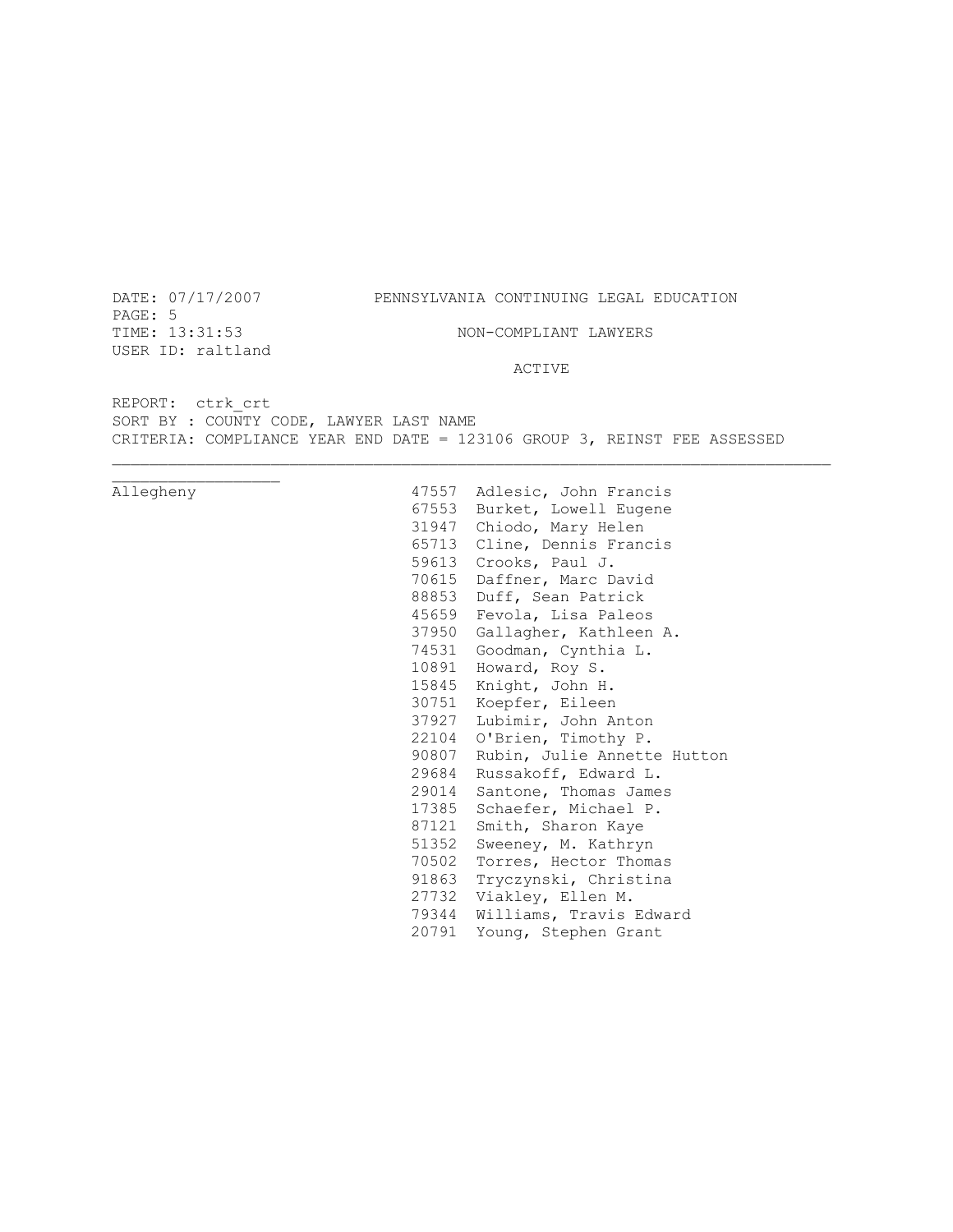PAGE: 5<br>TIME: 13:31:53 USER ID: raltland

# DATE: 07/17/2007 PENNSYLVANIA CONTINUING LEGAL EDUCATION

NON-COMPLIANT LAWYERS

### ACTIVE

REPORT: ctrk\_crt SORT BY : COUNTY CODE, LAWYER LAST NAME CRITERIA: COMPLIANCE YEAR END DATE = 123106 GROUP 3, REINST FEE ASSESSED

| Allegheny | 47557 | Adlesic, John Francis       |
|-----------|-------|-----------------------------|
|           | 67553 | Burket, Lowell Eugene       |
|           | 31947 | Chiodo, Mary Helen          |
|           | 65713 | Cline, Dennis Francis       |
|           | 59613 | Crooks, Paul J.             |
|           | 70615 | Daffner, Marc David         |
|           | 88853 | Duff, Sean Patrick          |
|           | 45659 | Fevola, Lisa Paleos         |
|           | 37950 | Gallagher, Kathleen A.      |
|           | 74531 | Goodman, Cynthia L.         |
|           | 10891 | Howard, Roy S.              |
|           | 15845 | Knight, John H.             |
|           | 30751 | Koepfer, Eileen             |
|           | 37927 | Lubimir, John Anton         |
|           | 22104 | O'Brien, Timothy P.         |
|           | 90807 | Rubin, Julie Annette Hutton |
|           | 29684 | Russakoff, Edward L.        |
|           | 29014 | Santone, Thomas James       |
|           | 17385 | Schaefer, Michael P.        |
|           | 87121 | Smith, Sharon Kaye          |
|           | 51352 | Sweeney, M. Kathryn         |
|           | 70502 | Torres, Hector Thomas       |
|           | 91863 | Tryczynski, Christina       |
|           | 27732 | Viakley, Ellen M.           |
|           | 79344 | Williams, Travis Edward     |
|           | 20791 | Young, Stephen Grant        |
|           |       |                             |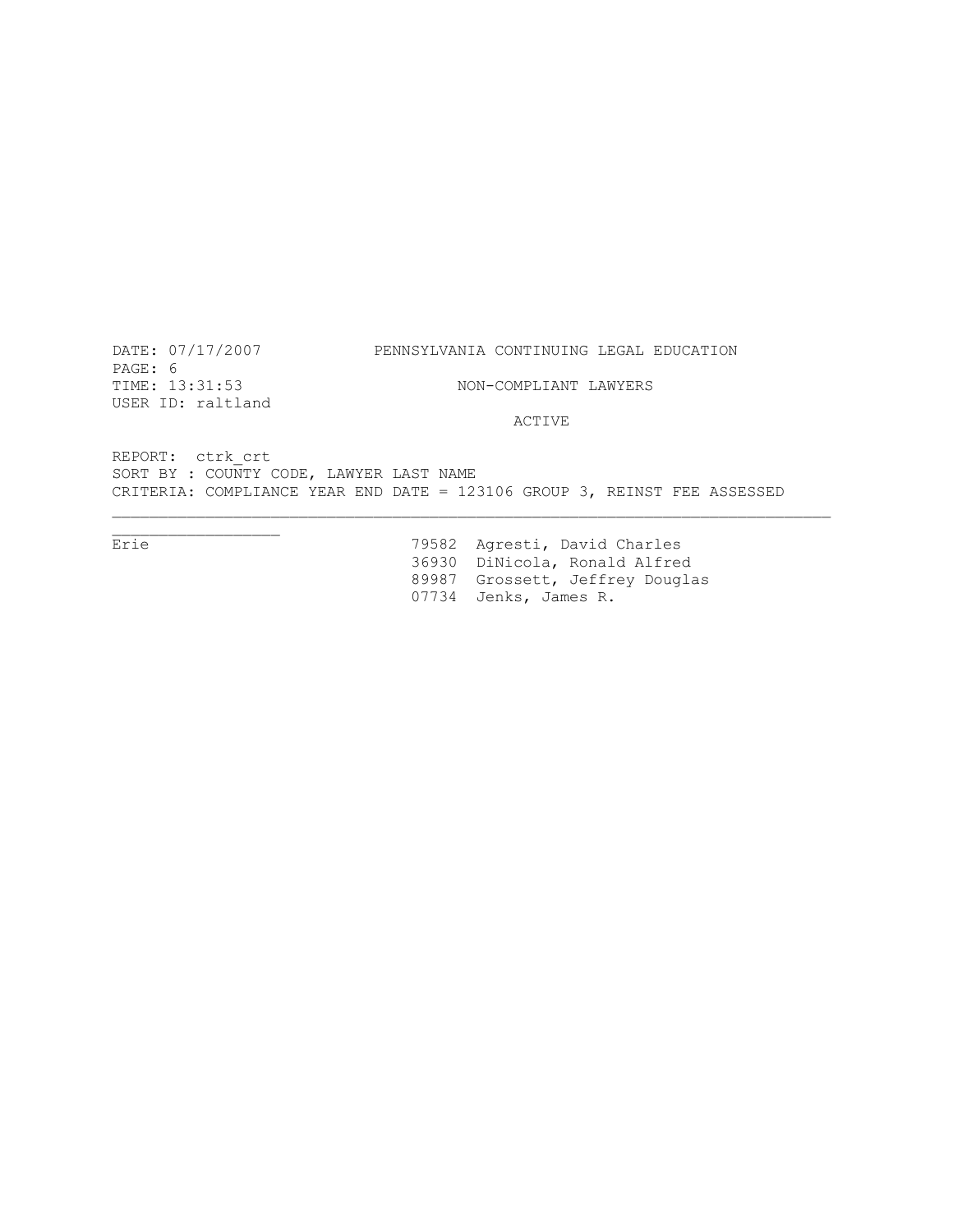DATE: 07/17/2007 PENNSYLVANIA CONTINUING LEGAL EDUCATION PAGE: 6<br>TIME: 13:31:53 NON-COMPLIANT LAWYERS USER ID: raltland ACTIVE REPORT: ctrk\_crt

SORT BY : COUNTY CODE, LAWYER LAST NAME CRITERIA: COMPLIANCE YEAR END DATE = 123106 GROUP 3, REINST FEE ASSESSED

 $\overline{\phantom{a}}$  , we can assume that  $\overline{\phantom{a}}$ Erie 79582 Agresti, David Charles 36930 DiNicola, Ronald Alfred 89987 Grossett, Jeffrey Douglas 07734 Jenks, James R.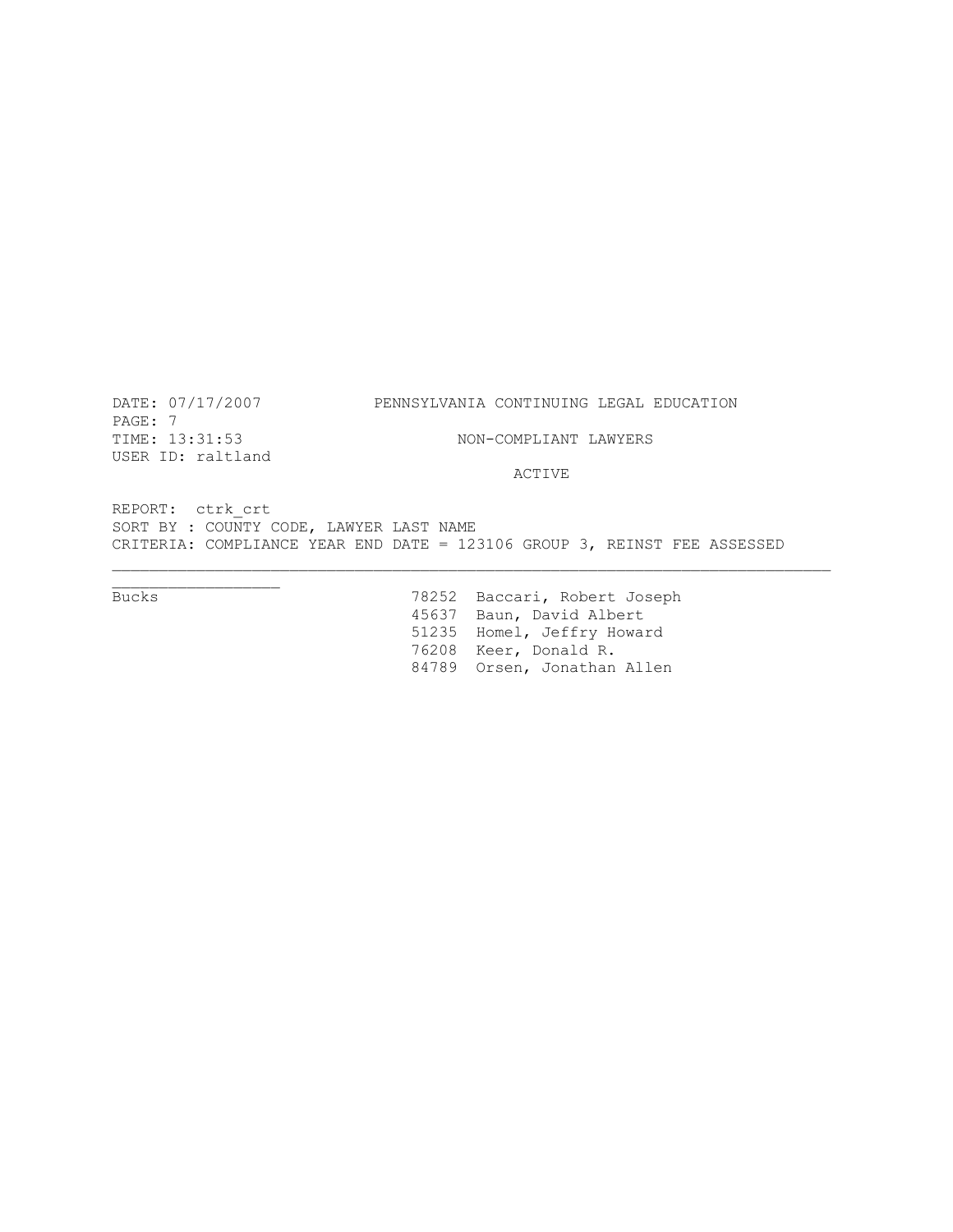PAGE: 7 TIME:  $13:31:53$  NON-COMPLIANT LAWYERS USER ID: raltland

### DATE: 07/17/2007 PENNSYLVANIA CONTINUING LEGAL EDUCATION

ACTIVE

REPORT: ctrk\_crt SORT BY : COUNTY CODE, LAWYER LAST NAME CRITERIA: COMPLIANCE YEAR END DATE = 123106 GROUP 3, REINST FEE ASSESSED

Bucks 78252 Baccari, Robert Joseph 45637 Baun, David Albert 51235 Homel, Jeffry Howard 76208 Keer, Donald R. 84789 Orsen, Jonathan Allen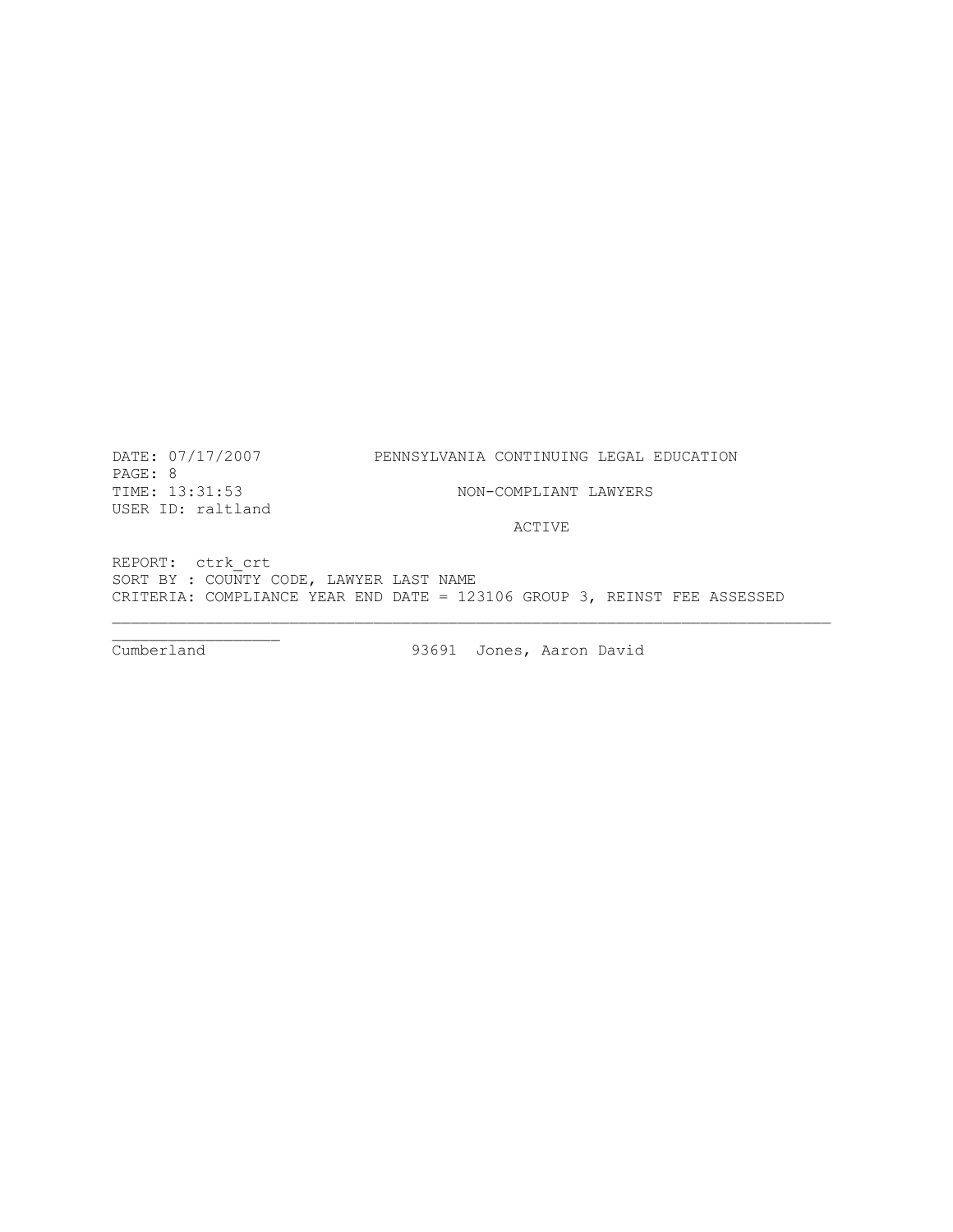DATE: 07/17/2007 PENNSYLVANIA CONTINUING LEGAL EDUCATION

PAGE: 8<br>TIME: 13:31:53 USER ID: raltland

NON-COMPLIANT LAWYERS

ACTIVE

REPORT: ctrk\_crt SORT BY : COUNTY CODE, LAWYER LAST NAME CRITERIA: COMPLIANCE YEAR END DATE = 123106 GROUP 3, REINST FEE ASSESSED

\_\_\_\_\_\_\_\_\_\_\_\_\_\_\_\_\_\_

93691 Jones, Aaron David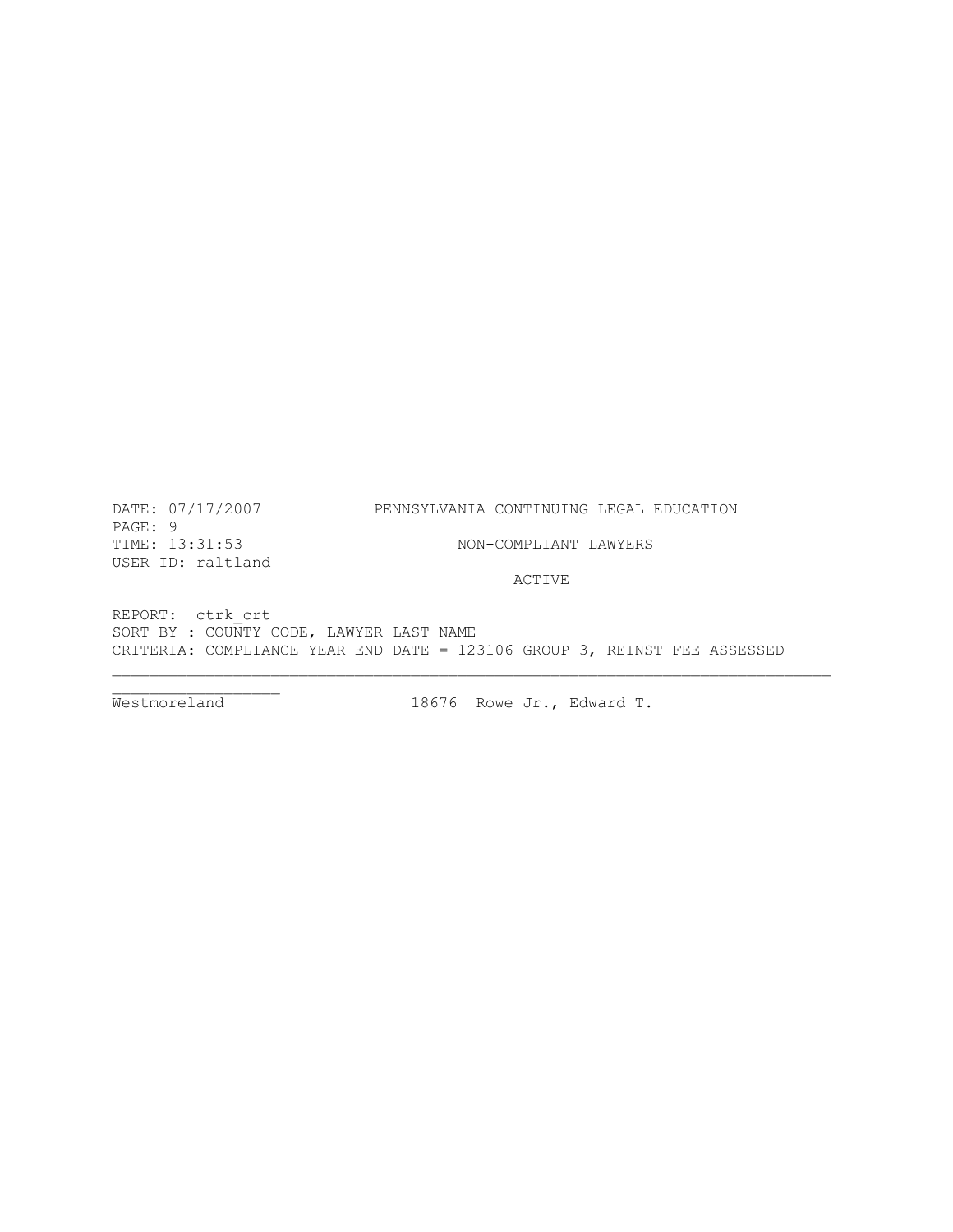PAGE: 9 TIME: 13:31:53 NON-COMPLIANT LAWYERS USER ID: raltland

## DATE: 07/17/2007 PENNSYLVANIA CONTINUING LEGAL EDUCATION

ACTIVE

REPORT: ctrk\_crt SORT BY :  $\overline{C}$ OUNTY CODE, LAWYER LAST NAME CRITERIA: COMPLIANCE YEAR END DATE = 123106 GROUP 3, REINST FEE ASSESSED

 $\frac{1}{2}$ 

Westmoreland 18676 Rowe Jr., Edward T.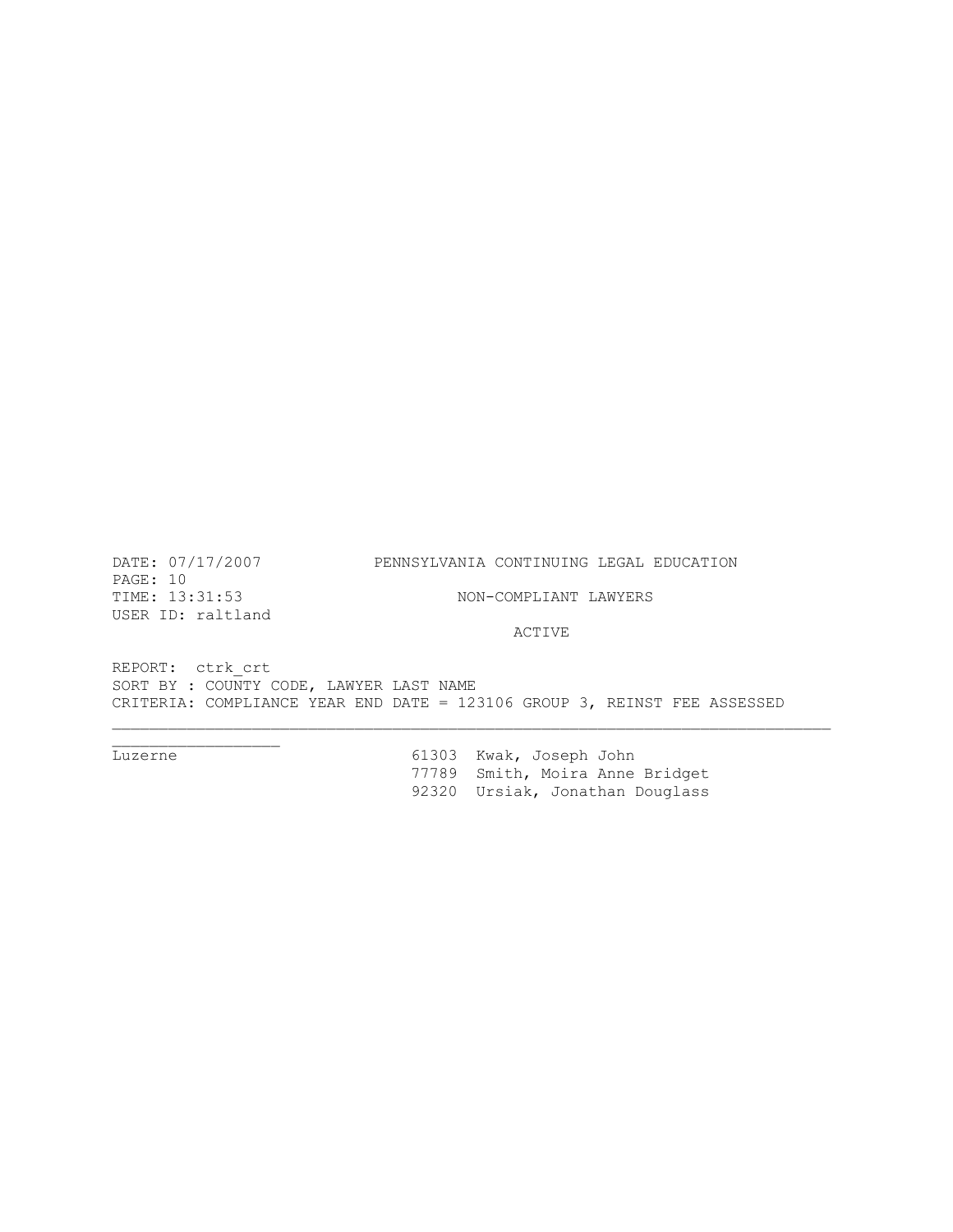PAGE: 10<br>TIME: 13:31:53 USER ID: raltland

 $\overline{\phantom{a}}$  , and the set of the set of the set of the set of the set of the set of the set of the set of the set of the set of the set of the set of the set of the set of the set of the set of the set of the set of the s

# DATE: 07/17/2007 PENNSYLVANIA CONTINUING LEGAL EDUCATION

NON-COMPLIANT LAWYERS

ACTIVE

REPORT: ctrk\_crt SORT BY : COUNTY CODE, LAWYER LAST NAME CRITERIA: COMPLIANCE YEAR END DATE = 123106 GROUP 3, REINST FEE ASSESSED

Luzerne 61303 Kwak, Joseph John 77789 Smith, Moira Anne Bridget 92320 Ursiak, Jonathan Douglass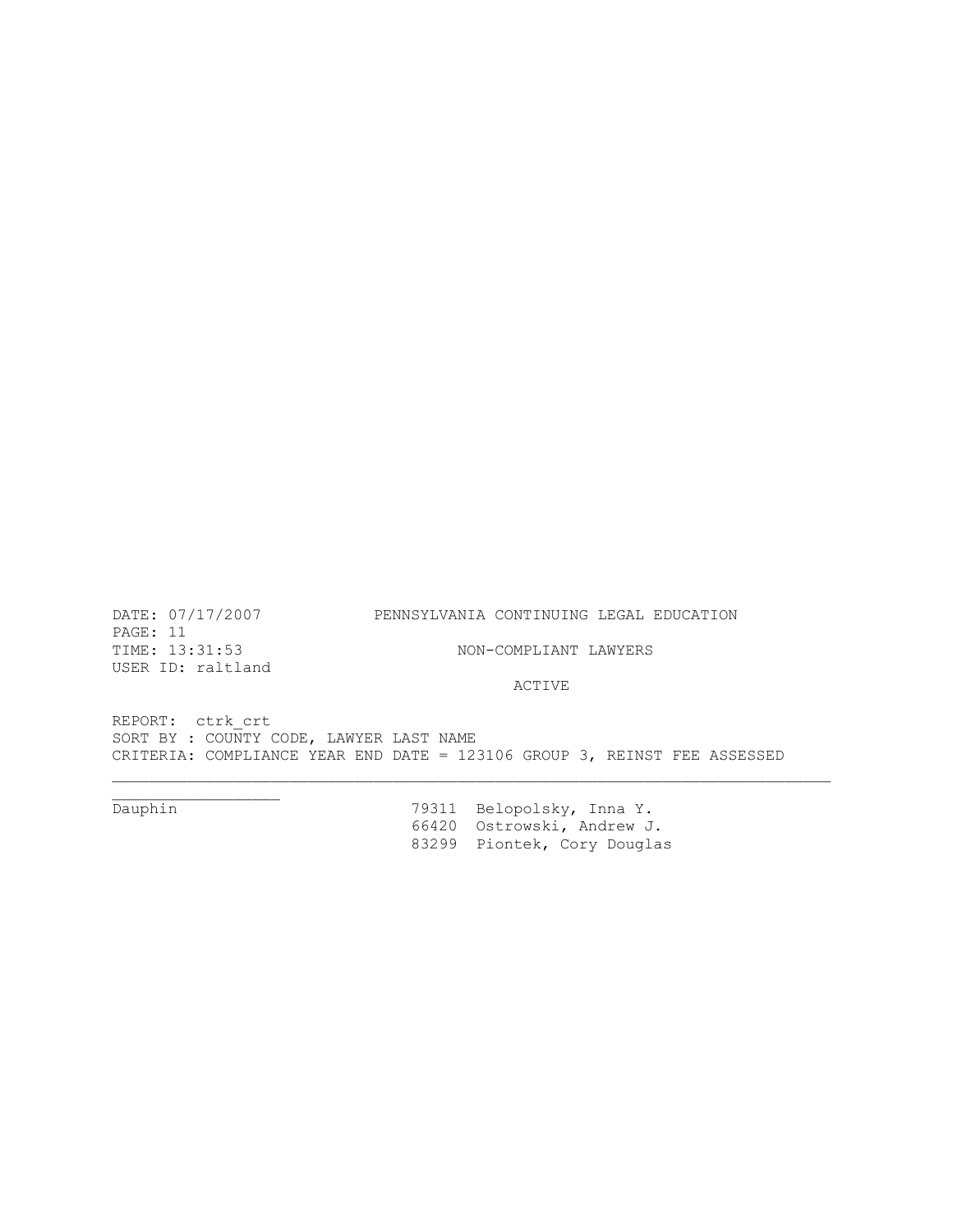PAGE: 11<br>TIME: 13:31:53 USER ID: raltland

 $\overline{\phantom{a}}$  , we can assume that the contract of  $\overline{\phantom{a}}$ 

DATE: 07/17/2007 PENNSYLVANIA CONTINUING LEGAL EDUCATION

ACTIVE

NON-COMPLIANT LAWYERS

REPORT: ctrk\_crt SORT BY : COUNTY CODE, LAWYER LAST NAME CRITERIA: COMPLIANCE YEAR END DATE = 123106 GROUP 3, REINST FEE ASSESSED

Dauphin 79311 Belopolsky, Inna Y. 66420 Ostrowski, Andrew J. 83299 Piontek, Cory Douglas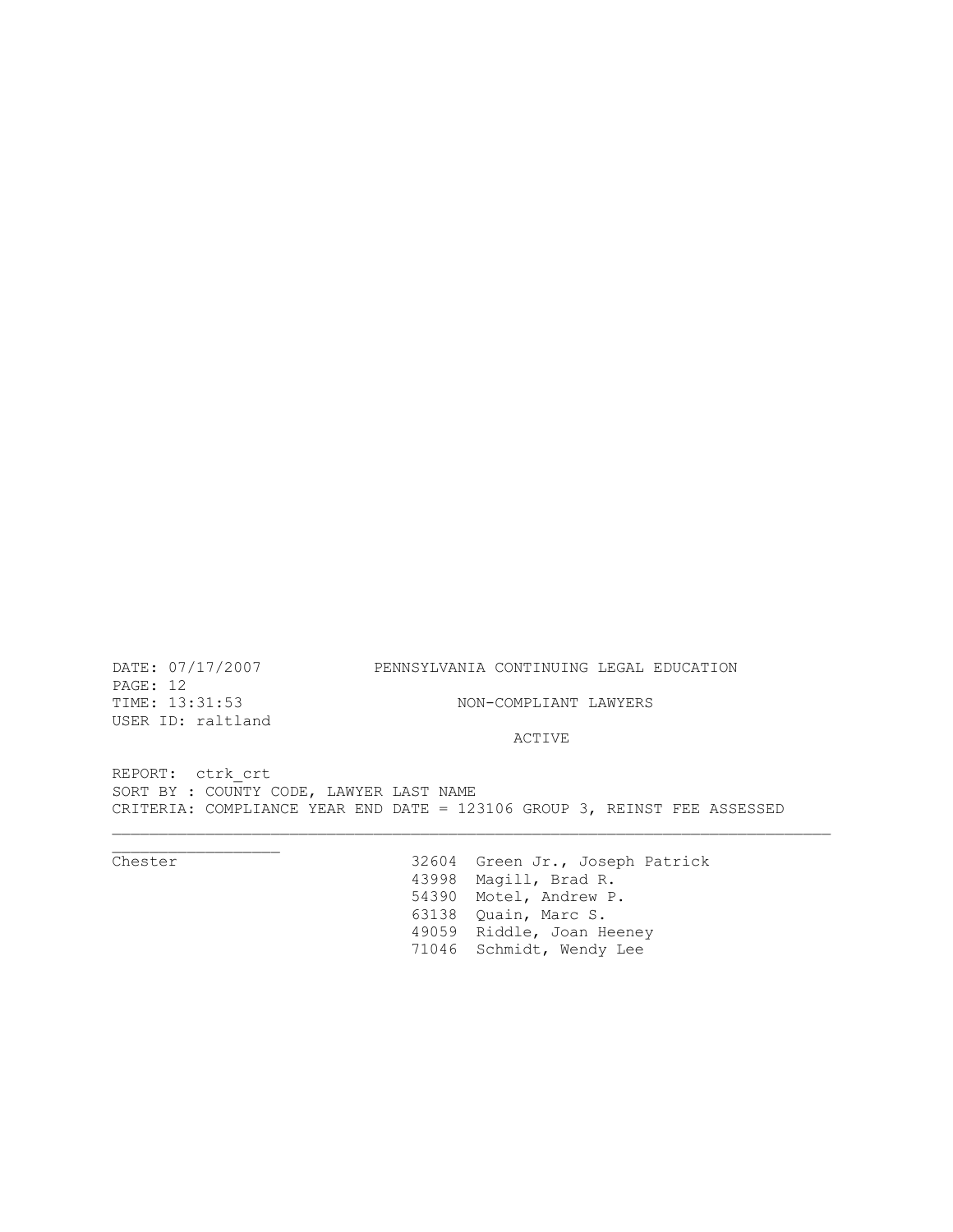PAGE: 12 USER ID: raltland

# DATE: 07/17/2007 PENNSYLVANIA CONTINUING LEGAL EDUCATION

TIME: 13:31:53 NON-COMPLIANT LAWYERS

ACTIVE

REPORT: ctrk\_crt SORT BY : COUNTY CODE, LAWYER LAST NAME CRITERIA: COMPLIANCE YEAR END DATE = 123106 GROUP 3, REINST FEE ASSESSED

 $\overbrace{\text{Chester}}$ 32604 Green Jr., Joseph Patrick 43998 Magill, Brad R. 54390 Motel, Andrew P. 63138 Quain, Marc S. 49059 Riddle, Joan Heeney 71046 Schmidt, Wendy Lee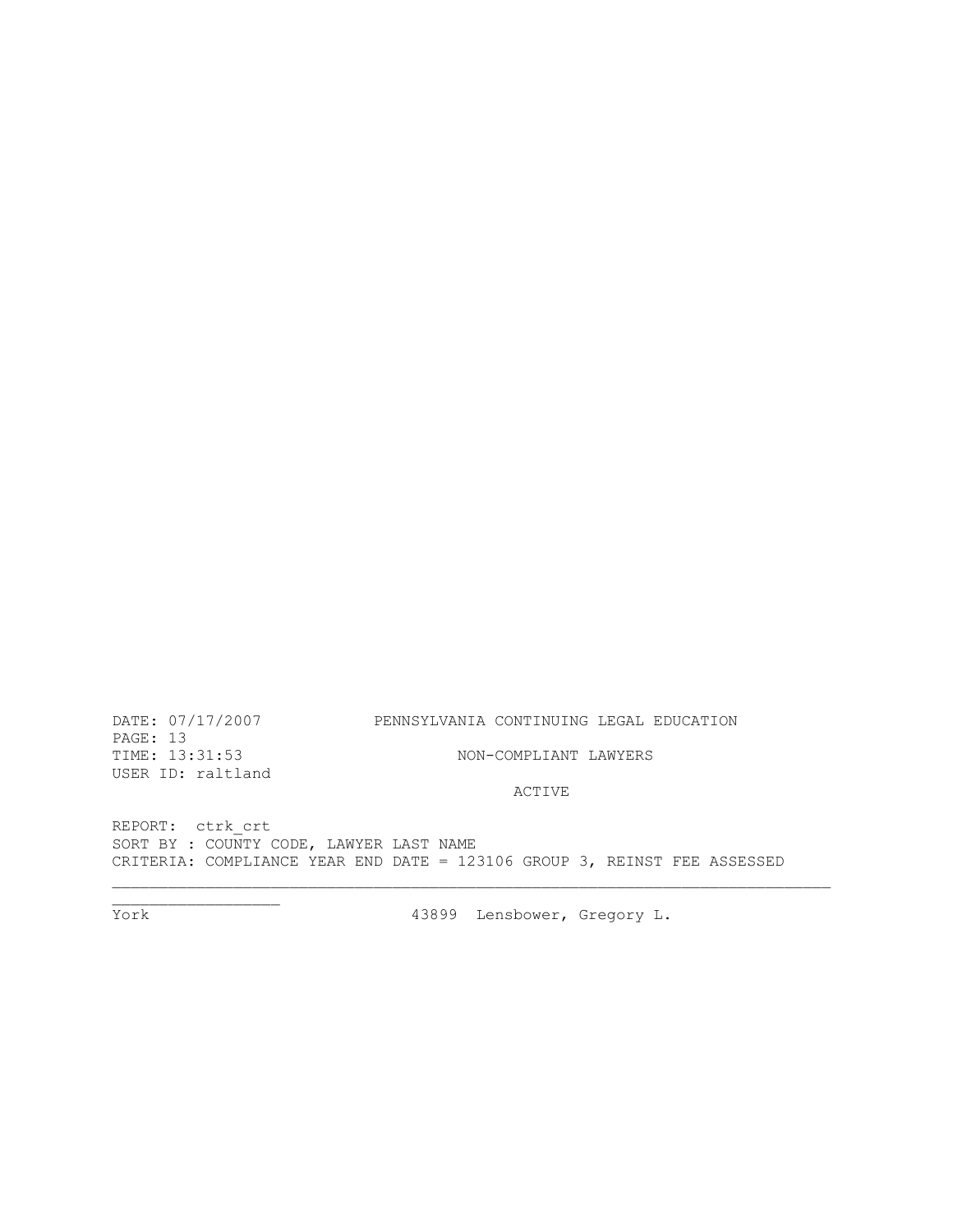DATE: 07/17/2007 PENNSYLVANIA CONTINUING LEGAL EDUCATION

PAGE: 13 USER ID: raltland

TIME: 13:31:53 NON-COMPLIANT LAWYERS

# ACTIVE

REPORT: ctrk\_crt SORT BY : COUNTY CODE, LAWYER LAST NAME CRITERIA: COMPLIANCE YEAR END DATE = 123106 GROUP 3, REINST FEE ASSESSED

 $\overline{\text{York}}$ 

43899 Lensbower, Gregory L.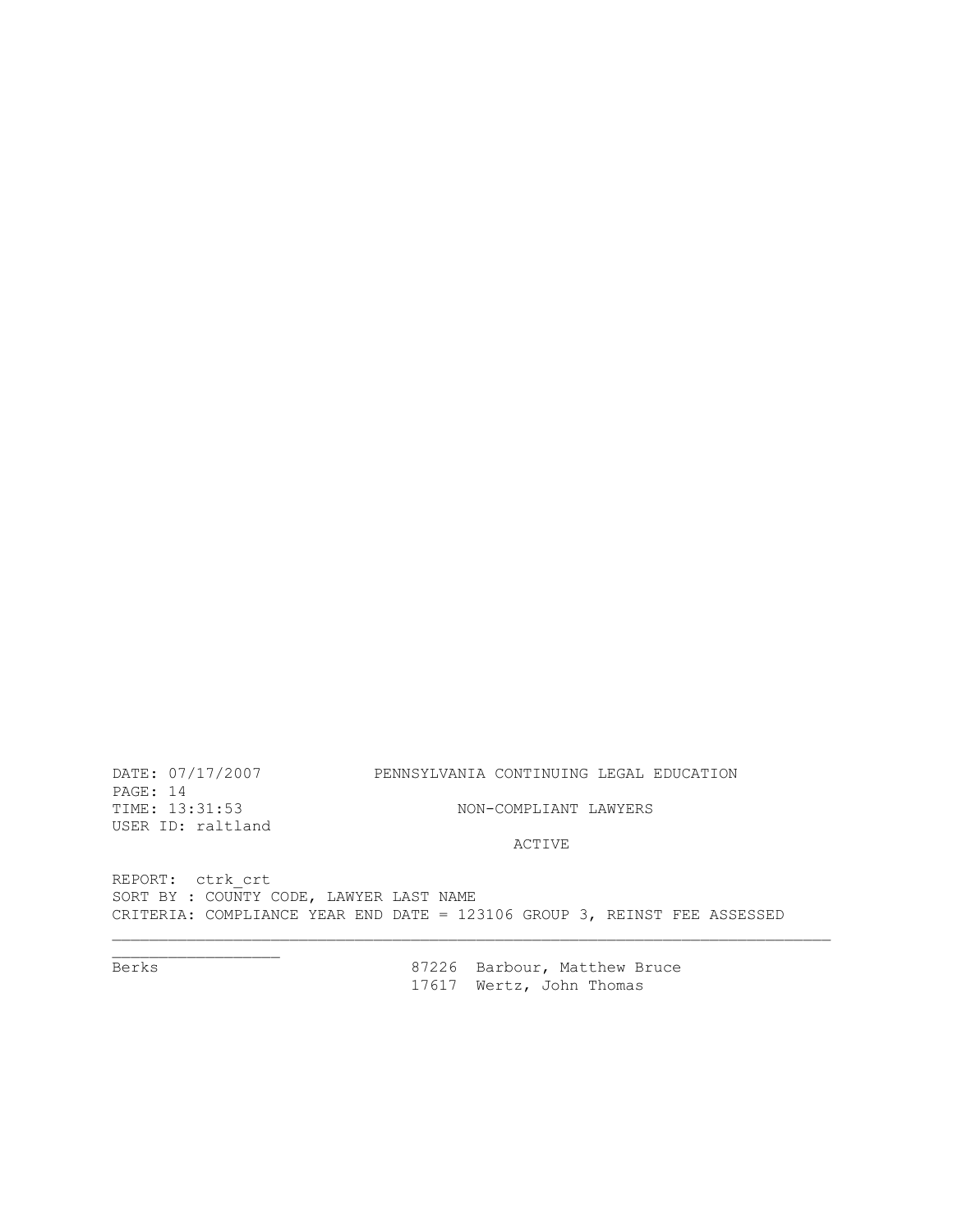Berks 87226 Barbour, Matthew Bruce 17617 Wertz, John Thomas

REPORT: ctrk\_crt SORT BY : COUNTY CODE, LAWYER LAST NAME CRITERIA: COMPLIANCE YEAR END DATE = 123106 GROUP 3, REINST FEE ASSESSED

ACTIVE

USER ID: raltland

TIME:  $13:31:53$  NON-COMPLIANT LAWYERS

DATE: 07/17/2007 PENNSYLVANIA CONTINUING LEGAL EDUCATION PAGE: 14

Berks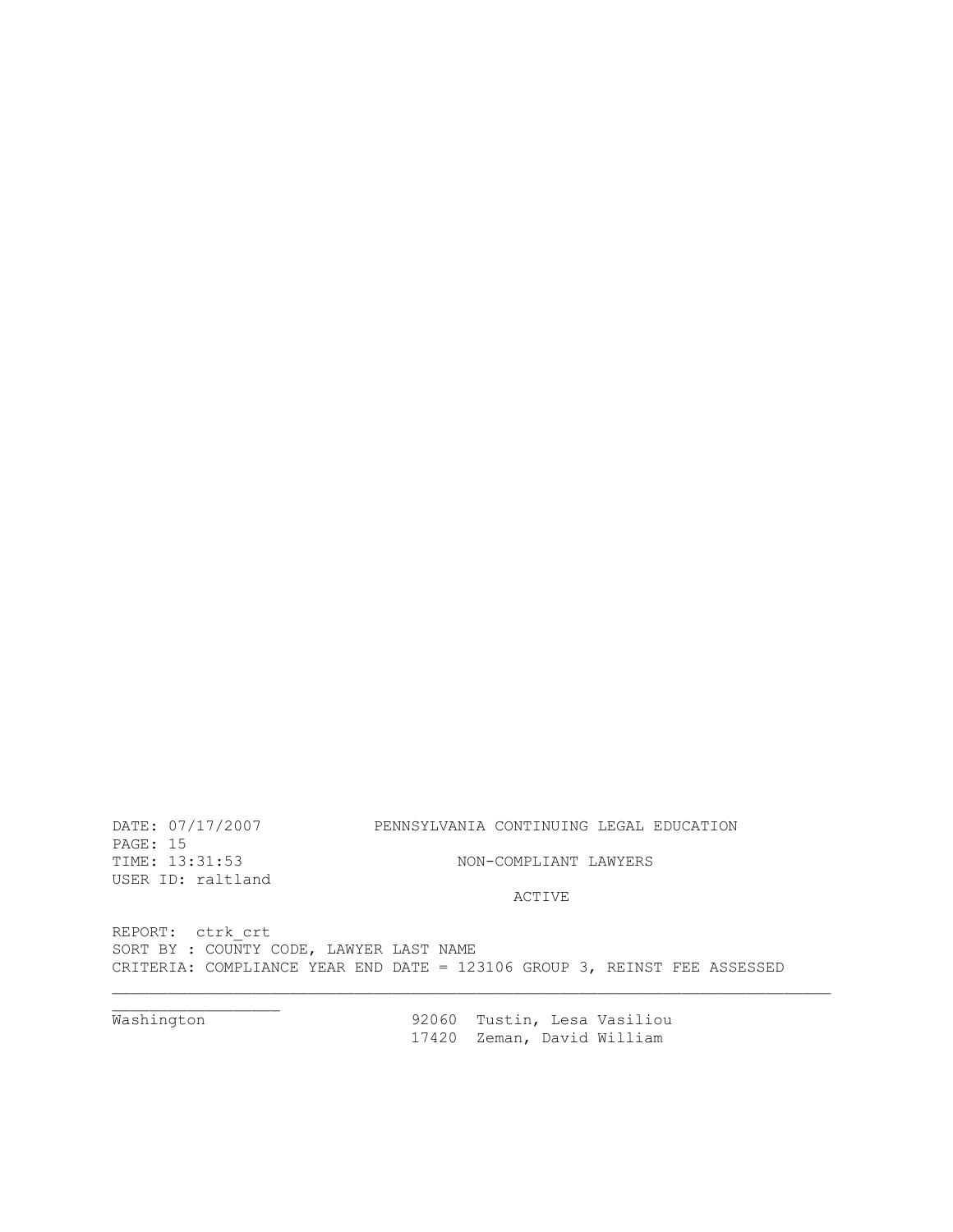REPORT: ctrk\_crt SORT BY : COUNTY CODE, LAWYER LAST NAME CRITERIA: COMPLIANCE YEAR END DATE = 123106 GROUP 3, REINST FEE ASSESSED

Washington

92060 Tustin, Lesa Vasiliou 17420 Zeman, David William

ACTIVE

NON-COMPLIANT LAWYERS

PAGE: 15<br>TIME: 13:31:53

USER ID: raltland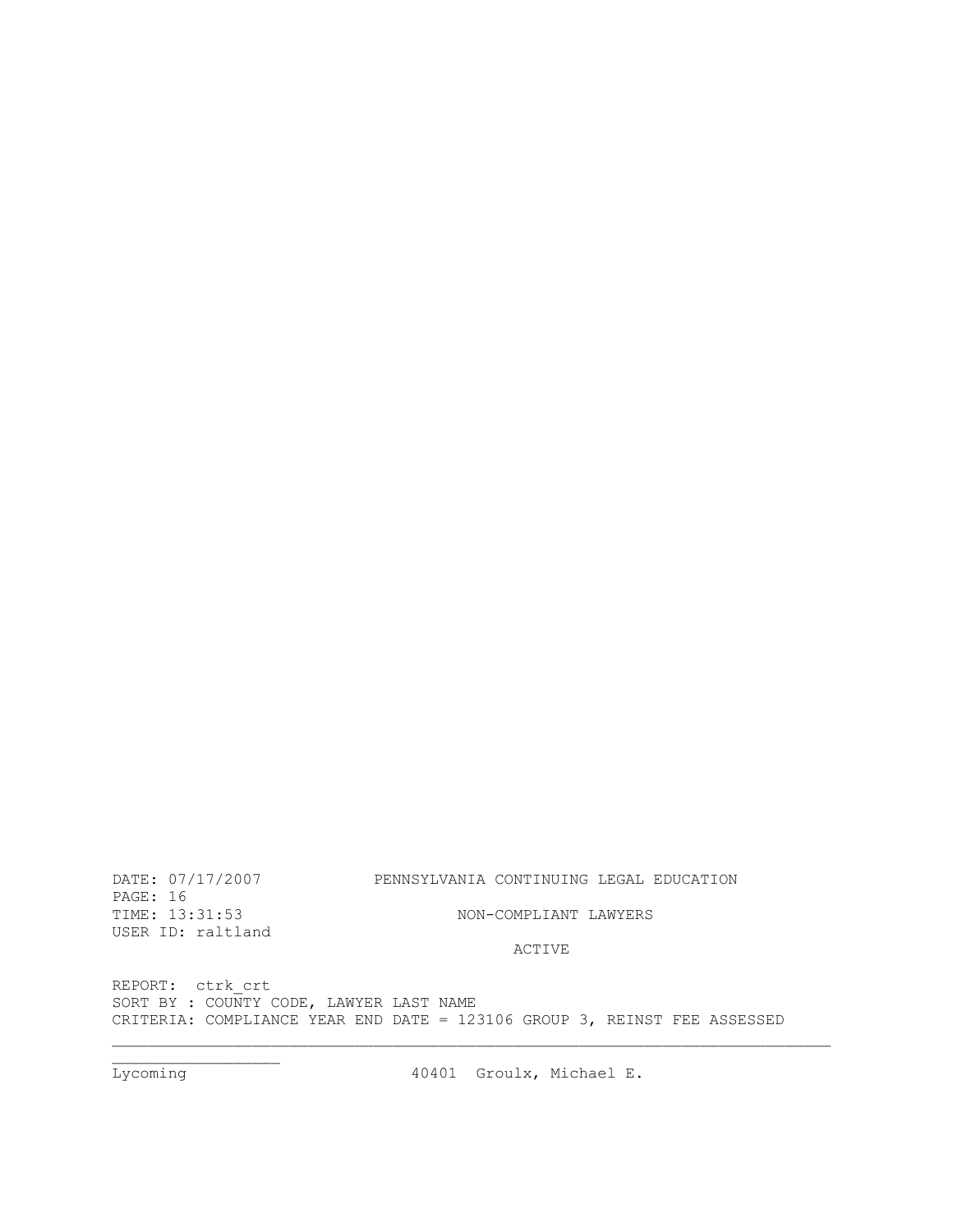Lycoming 10401 Groulx, Michael E.

REPORT: ctrk crt SORT BY : COUNTY CODE, LAWYER LAST NAME CRITERIA: COMPLIANCE YEAR END DATE = 123106 GROUP 3, REINST FEE ASSESSED

ACTIVE

PAGE: 16 TIME: 13:31:53 NON-COMPLIANT LAWYERS USER ID: raltland

\_\_\_\_\_\_\_\_\_\_\_\_\_\_\_\_\_\_\_\_\_\_\_\_\_\_\_\_\_\_\_\_\_\_\_\_\_\_\_\_\_\_\_\_\_\_\_\_\_\_\_\_\_\_\_\_\_\_\_\_\_\_\_\_\_\_\_\_\_\_\_\_\_\_\_\_\_

 $\overline{\phantom{a}}$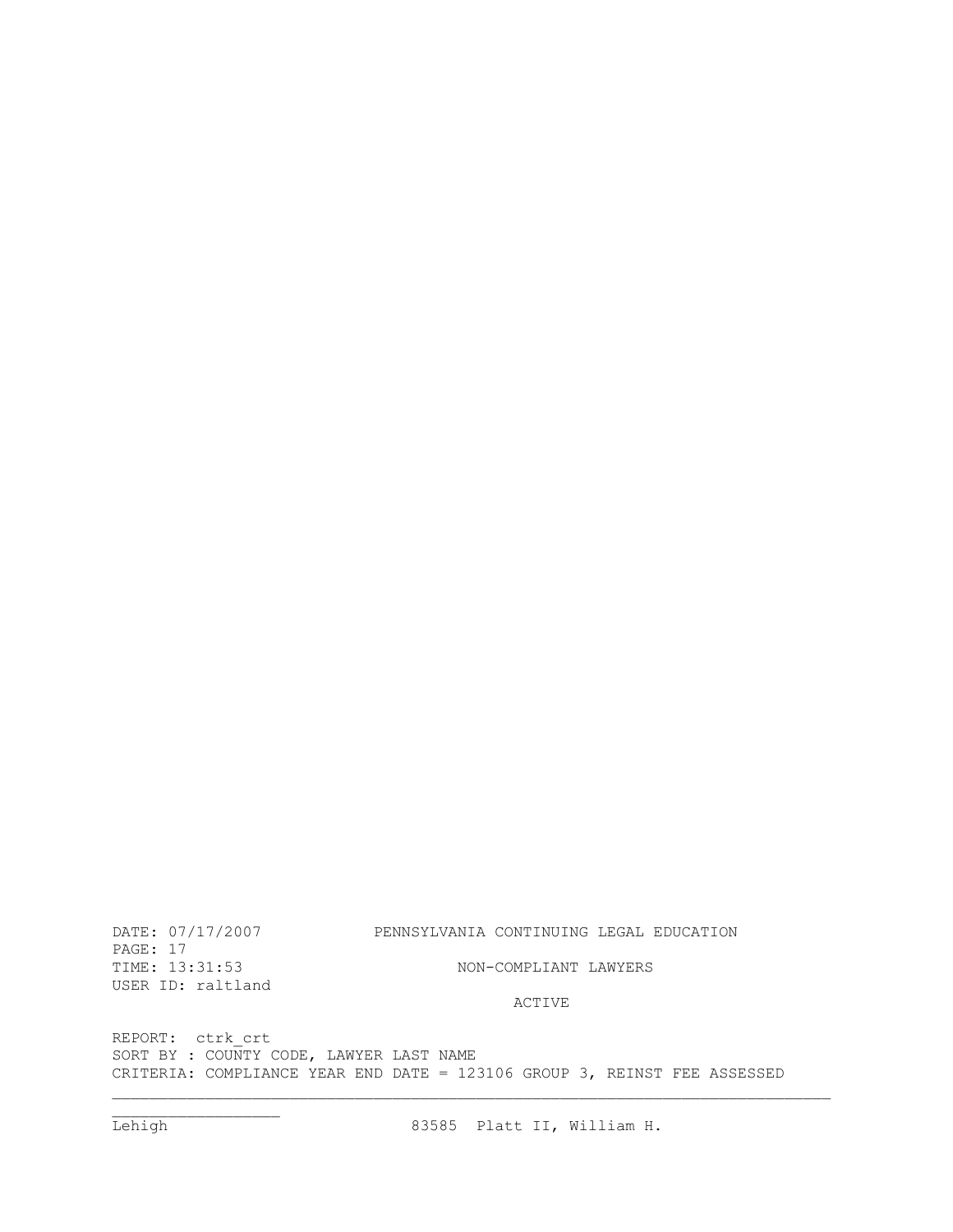REPORT: ctrk\_crt SORT BY : COUNTY CODE, LAWYER LAST NAME CRITERIA: COMPLIANCE YEAR END DATE = 123106 GROUP 3, REINST FEE ASSESSED

### ACTIVE

NON-COMPLIANT LAWYERS

PAGE: 17<br>TIME: 13:31:53 USER ID: raltland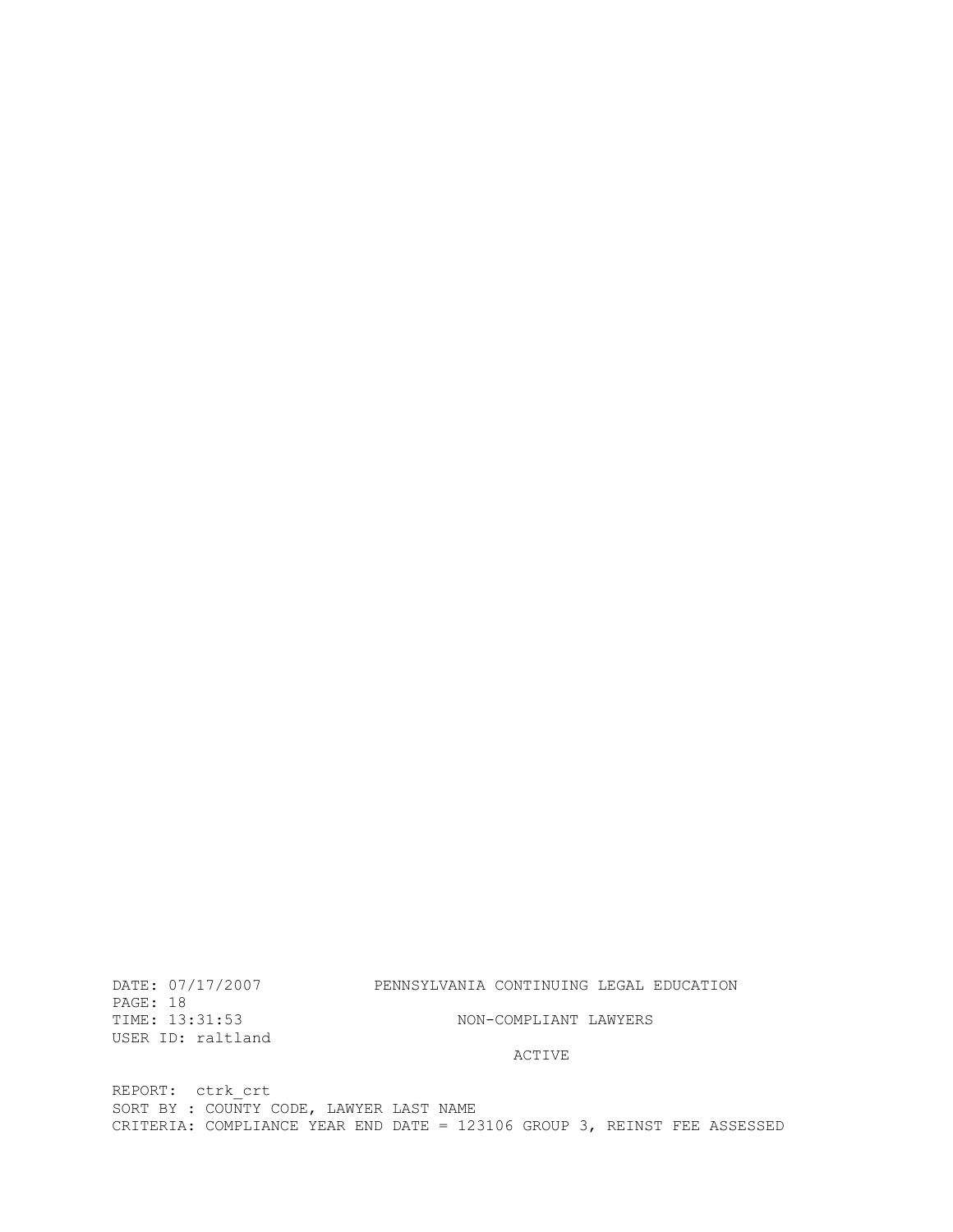REPORT: ctrk\_crt SORT BY : COUNTY CODE, LAWYER LAST NAME CRITERIA: COMPLIANCE YEAR END DATE = 123106 GROUP 3, REINST FEE ASSESSED

#### ACTIVE

PAGE: 18<br>TIME: 13:31:53 USER ID: raltland

NON-COMPLIANT LAWYERS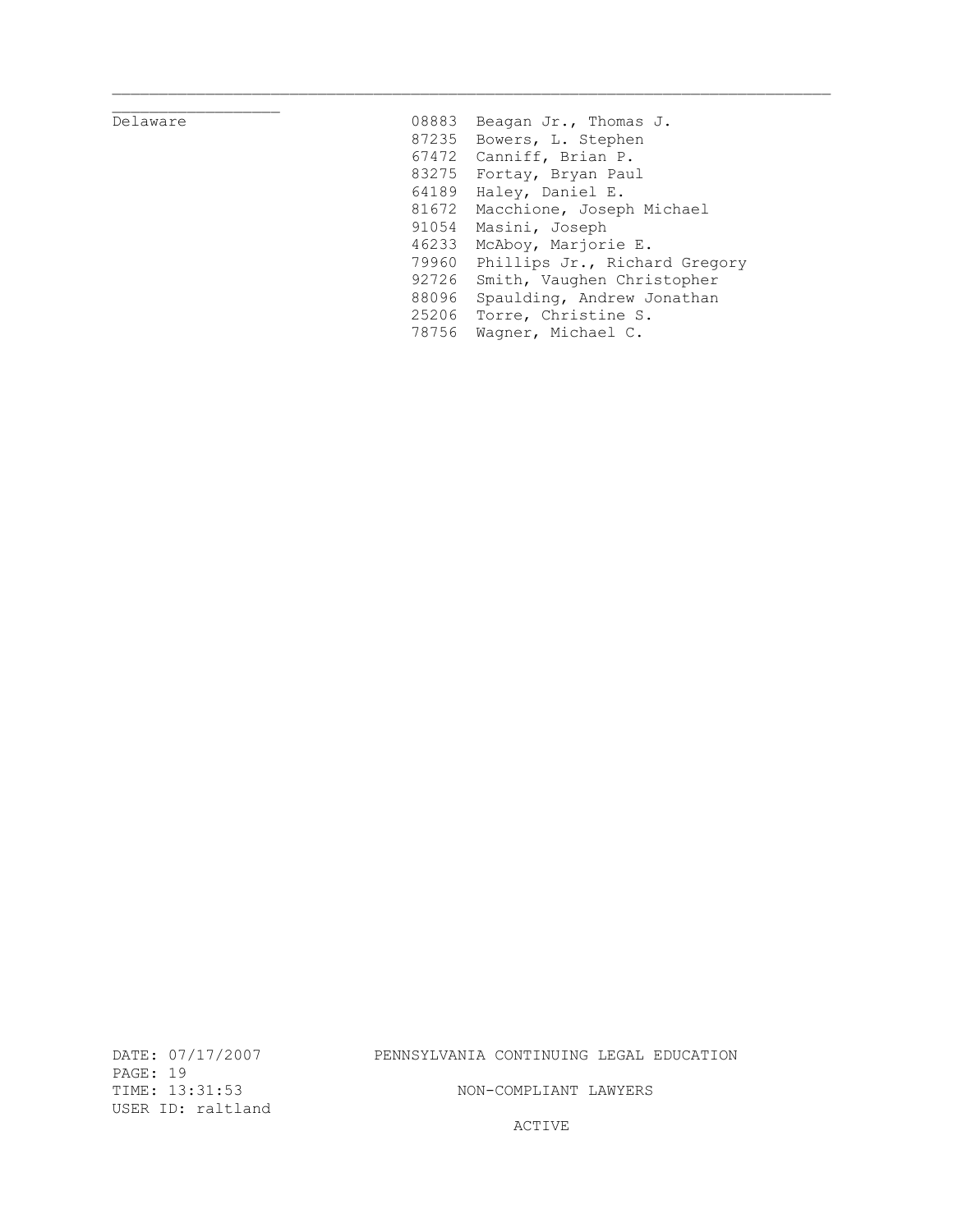# Delaware 08888888

| 08883 | Beagan Jr., Thomas J.         |
|-------|-------------------------------|
| 87235 | Bowers, L. Stephen            |
| 67472 | Canniff, Brian P.             |
| 83275 | Fortay, Bryan Paul            |
| 64189 | Haley, Daniel E.              |
| 81672 | Macchione, Joseph Michael     |
| 91054 | Masini, Joseph                |
| 46233 | McAboy, Marjorie E.           |
| 79960 | Phillips Jr., Richard Gregory |
| 92726 | Smith, Vaughen Christopher    |
| 88096 | Spaulding, Andrew Jonathan    |
| 25206 | Torre, Christine S.           |
| 78756 | Wagner, Michael C.            |
|       |                               |

PAGE: 19<br>TIME: 13:31:53 USER ID: raltland

# DATE: 07/17/2007 PENNSYLVANIA CONTINUING LEGAL EDUCATION

NON-COMPLIANT LAWYERS

ACTIVE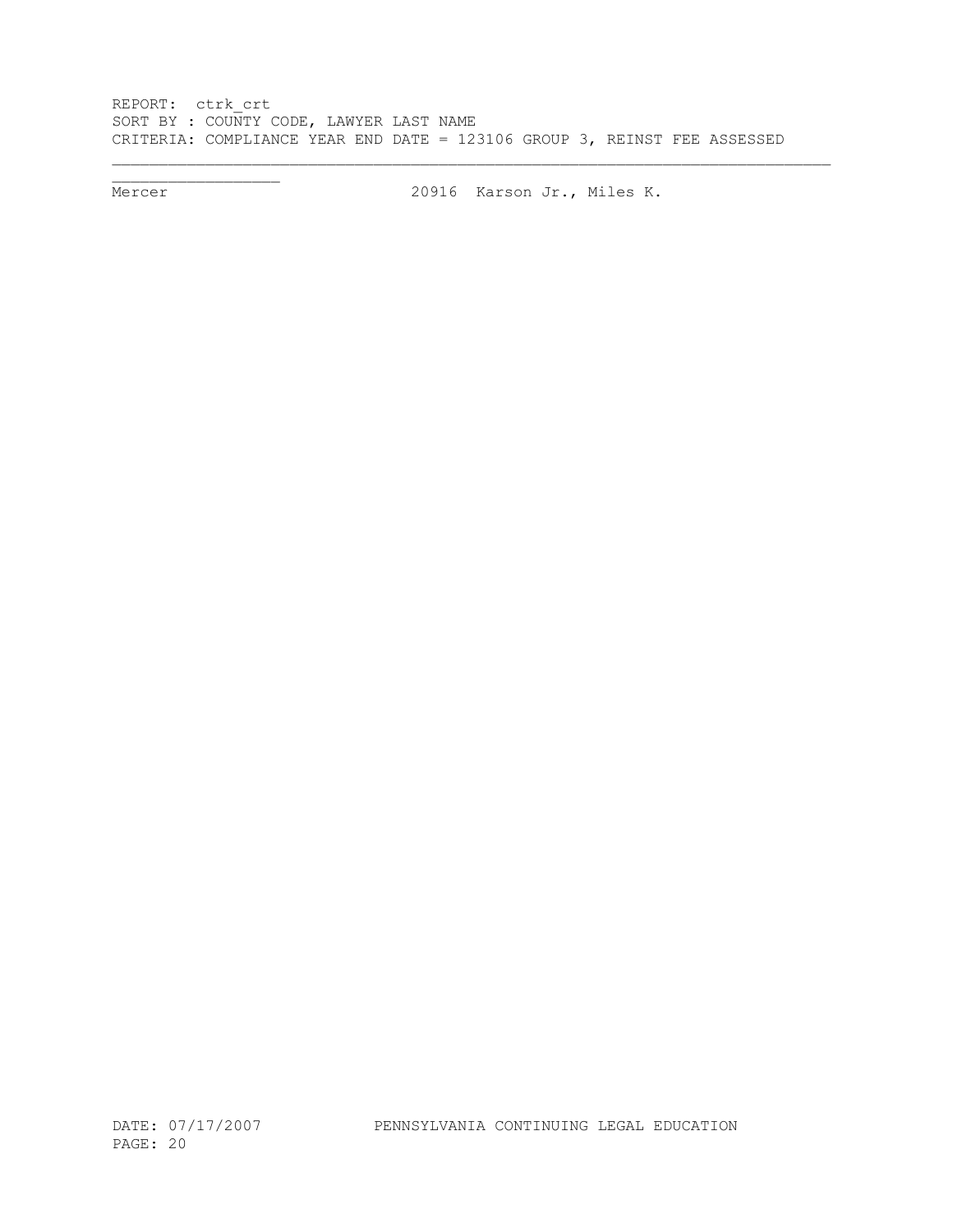REPORT: ctrk\_crt SORT BY : COUNTY CODE, LAWYER LAST NAME CRITERIA: COMPLIANCE YEAR END DATE = 123106 GROUP 3, REINST FEE ASSESSED

 $\overline{\phantom{a}}$  , we can assume that  $\overline{\phantom{a}}$ 

Mercer 20916 Karson Jr., Miles K.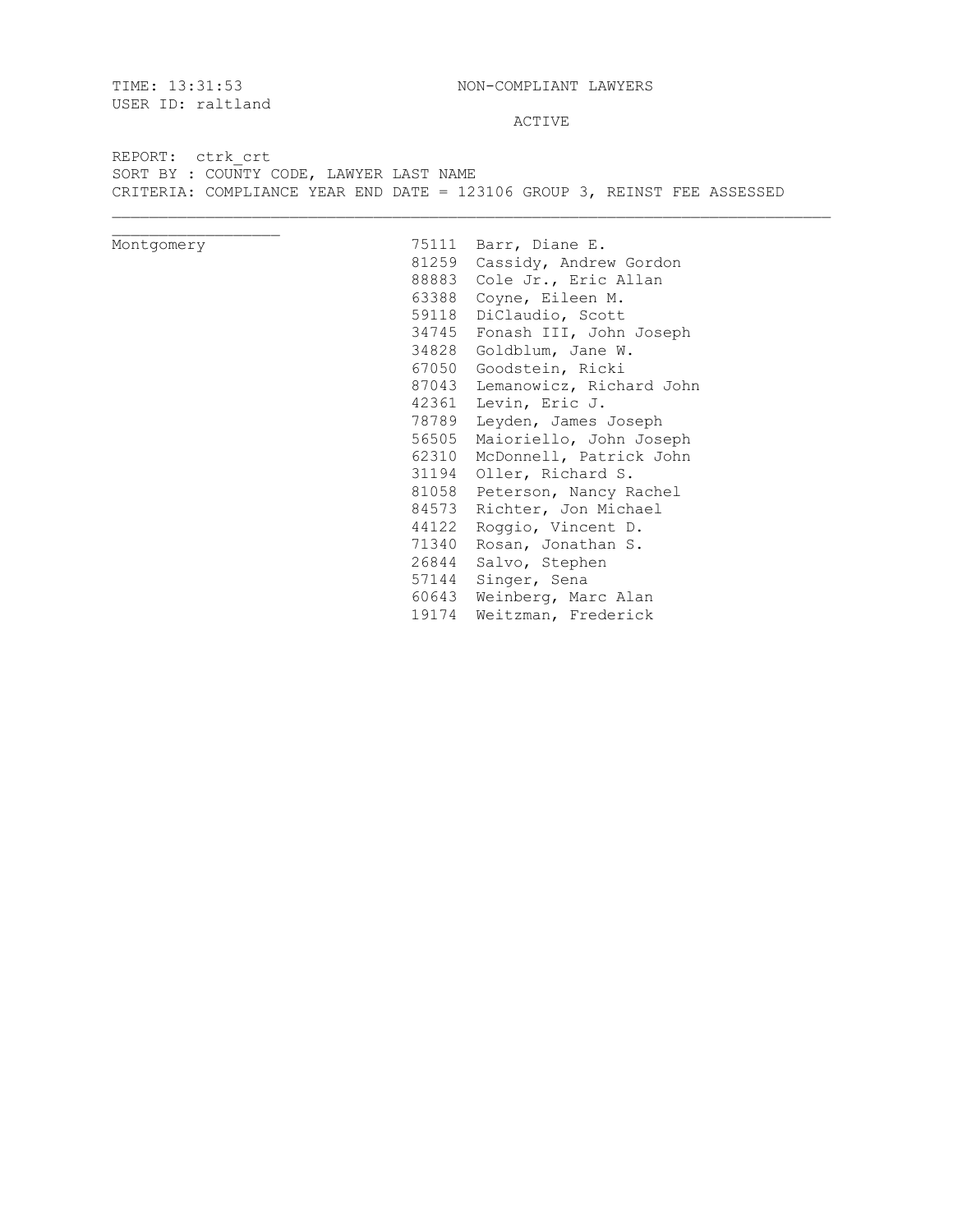USER ID: raltland

TIME: 13:31:53 NON-COMPLIANT LAWYERS

ACTIVE

REPORT: ctrk\_crt SORT BY : COUNTY CODE, LAWYER LAST NAME CRITERIA: COMPLIANCE YEAR END DATE = 123106 GROUP 3, REINST FEE ASSESSED

| Montgomery |       | 75111 Barr, Diane E.      |
|------------|-------|---------------------------|
|            | 81259 | Cassidy, Andrew Gordon    |
|            | 88883 | Cole Jr., Eric Allan      |
|            | 63388 | Coyne, Eileen M.          |
|            | 59118 | DiClaudio, Scott          |
|            | 34745 | Fonash III, John Joseph   |
|            | 34828 | Goldblum, Jane W.         |
|            | 67050 | Goodstein, Ricki          |
|            | 87043 | Lemanowicz, Richard John  |
|            | 42361 | Levin, Eric J.            |
|            | 78789 | Leyden, James Joseph      |
|            | 56505 | Maioriello, John Joseph   |
|            | 62310 | McDonnell, Patrick John   |
|            | 31194 | Oller, Richard S.         |
|            | 81058 | Peterson, Nancy Rachel    |
|            | 84573 | Richter, Jon Michael      |
|            | 44122 | Roggio, Vincent D.        |
|            | 71340 | Rosan, Jonathan S.        |
|            | 26844 | Salvo, Stephen            |
|            | 57144 | Singer, Sena              |
|            | 60643 | Weinberg, Marc Alan       |
|            |       | 19174 Weitzman, Frederick |
|            |       |                           |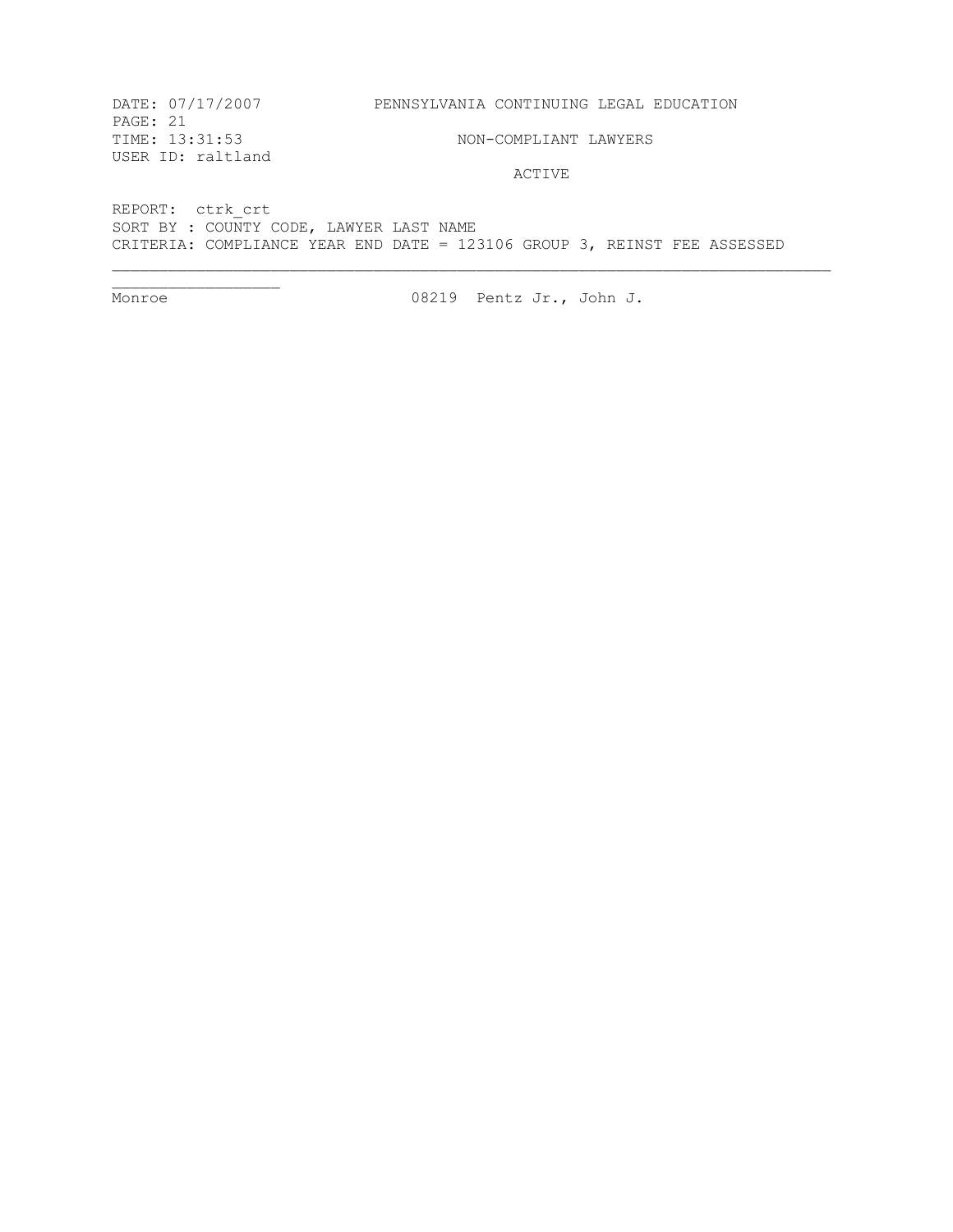DATE: 07/17/2007 PENNSYLVANIA CONTINUING LEGAL EDUCATION PAGE: 21<br>TIME: 13:31:53 NON-COMPLIANT LAWYERS USER ID: raltland ACTIVE

REPORT: ctrk\_crt SORT BY : COUNTY CODE, LAWYER LAST NAME CRITERIA: COMPLIANCE YEAR END DATE = 123106 GROUP 3, REINST FEE ASSESSED

 $\overline{\phantom{a}}$ 

Monroe 08219 Pentz Jr., John J.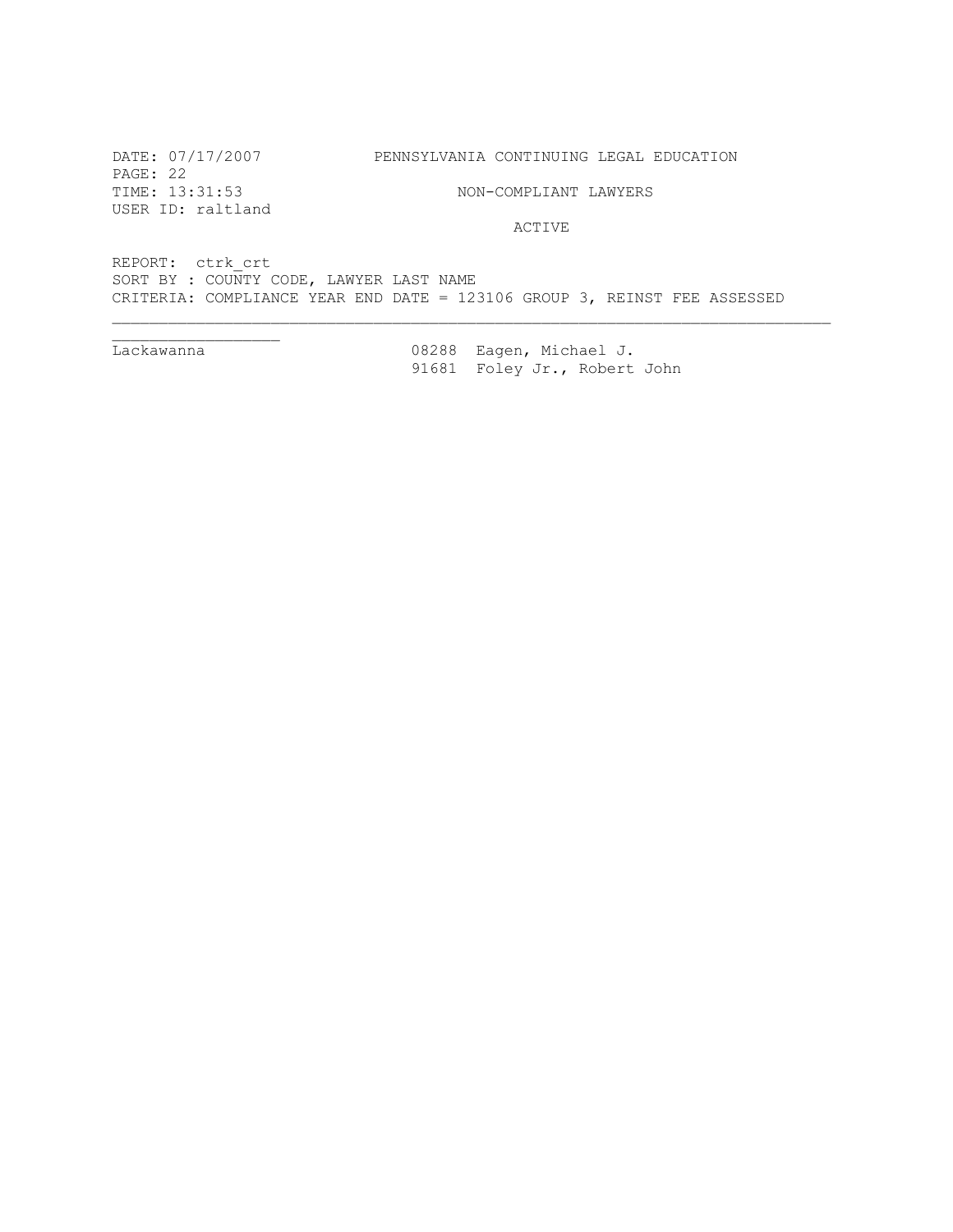PAGE: 22 TIME: 13:31:53 NON-COMPLIANT LAWYERS USER ID: raltland

ACTIVE

REPORT: ctrk\_crt SORT BY : COUNTY CODE, LAWYER LAST NAME CRITERIA: COMPLIANCE YEAR END DATE = 123106 GROUP 3, REINST FEE ASSESSED

Lackawanna

Lackawanna 08288 Eagen, Michael J. 91681 Foley Jr., Robert John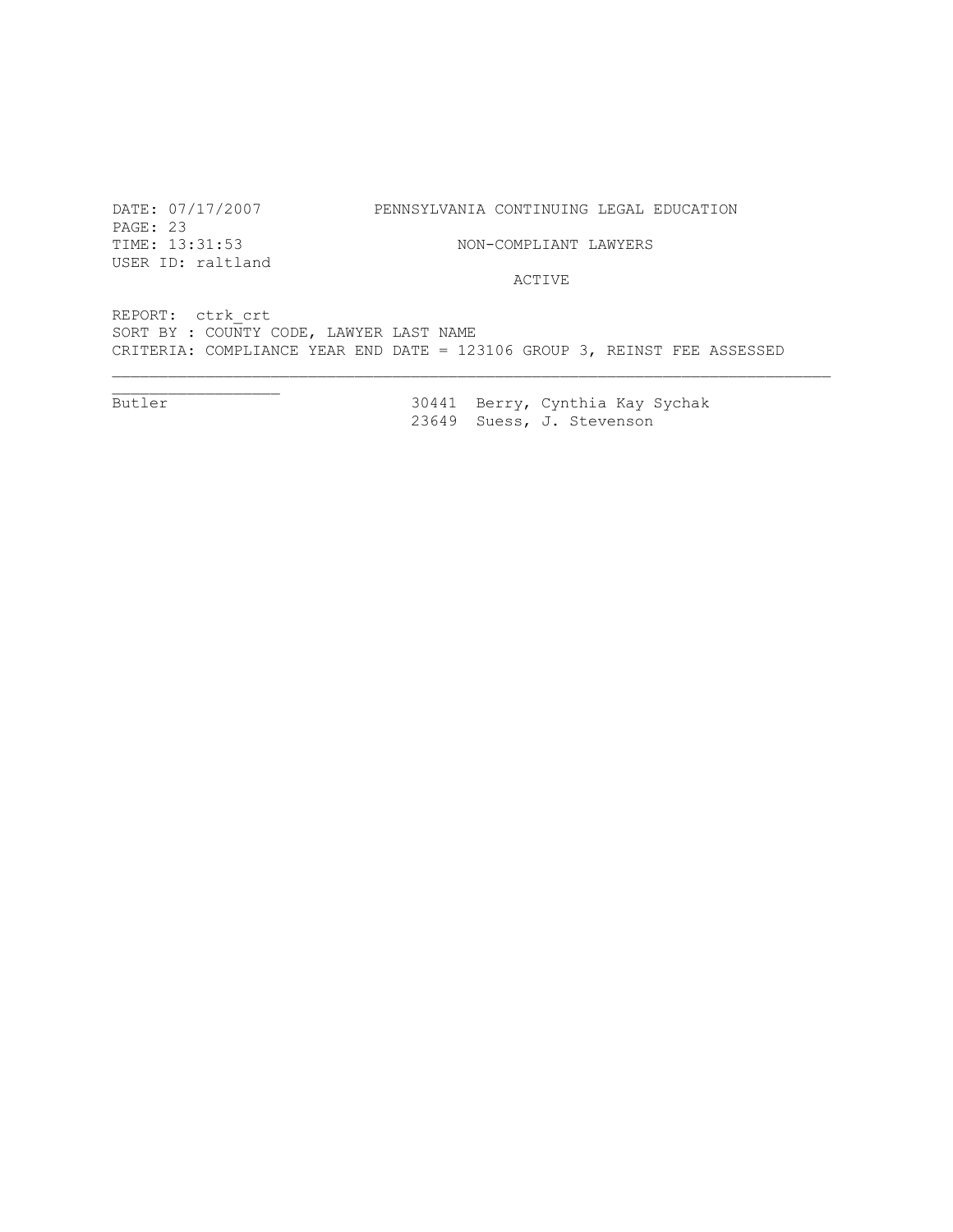PAGE: 23<br>TIME: 13:31:53 USER ID: raltland

DATE: 07/17/2007 PENNSYLVANIA CONTINUING LEGAL EDUCATION

NON-COMPLIANT LAWYERS

ACTIVE

REPORT: ctrk\_crt SORT BY : COUNTY CODE, LAWYER LAST NAME CRITERIA: COMPLIANCE YEAR END DATE = 123106 GROUP 3, REINST FEE ASSESSED

Butler

30441 Berry, Cynthia Kay Sychak 23649 Suess, J. Stevenson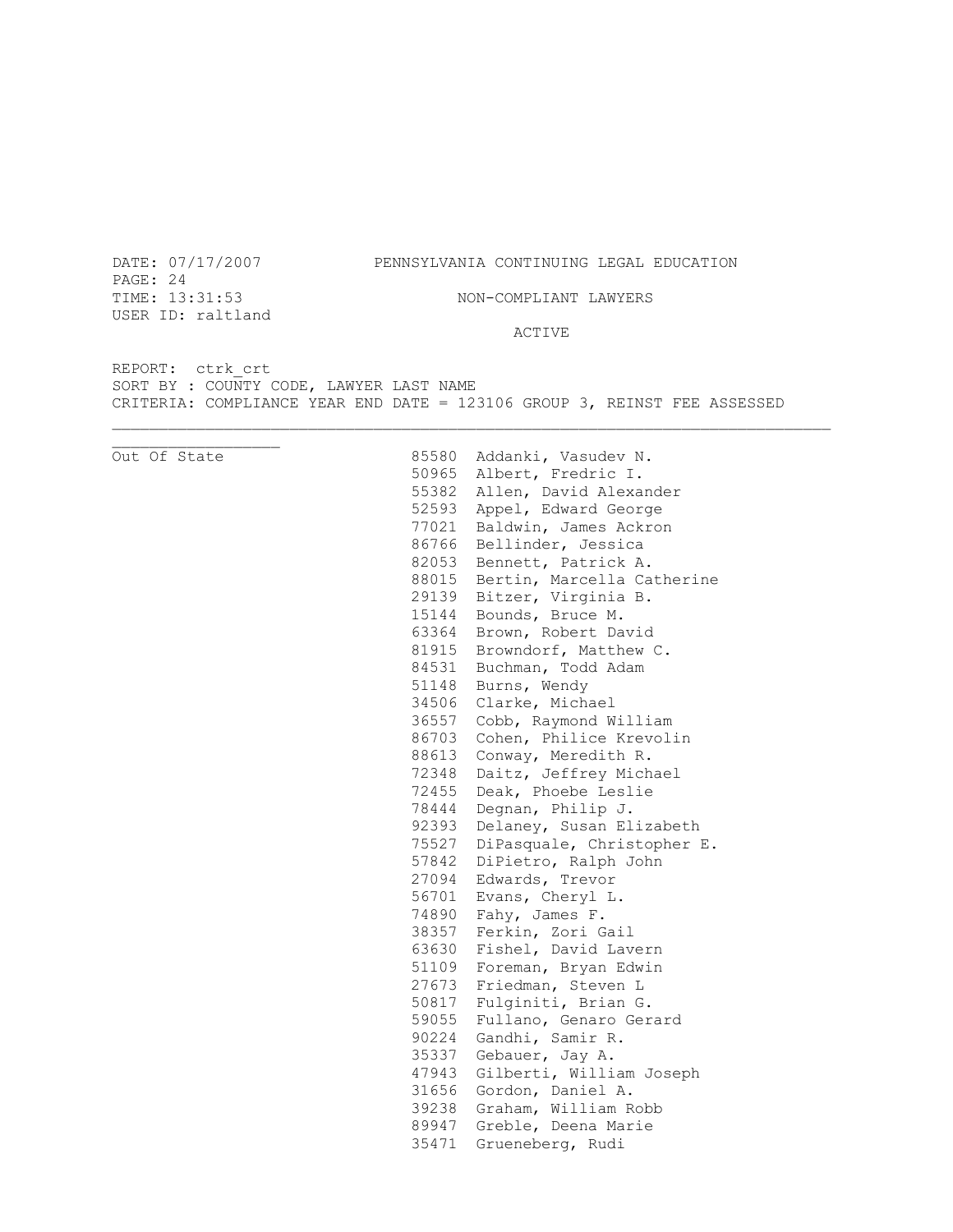DATE: 07/17/2007 PENNSYLVANIA CONTINUING LEGAL EDUCATION

PAGE: 24 TIME:  $13:31:53$  NON-COMPLIANT LAWYERS USER ID: raltland

47943 Gilberti, William Joseph

31656 Gordon, Daniel A. 39238 Graham, William Robb 89947 Greble, Deena Marie 35471 Grueneberg, Rudi

ACTIVE

REPORT: ctrk\_crt SORT BY : COUNTY CODE, LAWYER LAST NAME CRITERIA: COMPLIANCE YEAR END DATE = 123106 GROUP 3, REINST FEE ASSESSED

Out Of State 85580 Addanki, Vasudev N. 50965 Albert, Fredric I. 55382 Allen, David Alexander 52593 Appel, Edward George 77021 Baldwin, James Ackron 86766 Bellinder, Jessica 82053 Bennett, Patrick A. 88015 Bertin, Marcella Catherine 29139 Bitzer, Virginia B. 15144 Bounds, Bruce M. 63364 Brown, Robert David 81915 Browndorf, Matthew C. 84531 Buchman, Todd Adam 51148 Burns, Wendy 34506 Clarke, Michael 36557 Cobb, Raymond William 86703 Cohen, Philice Krevolin 88613 Conway, Meredith R. 72348 Daitz, Jeffrey Michael 72455 Deak, Phoebe Leslie 78444 Degnan, Philip J. 92393 Delaney, Susan Elizabeth 75527 DiPasquale, Christopher E. 57842 DiPietro, Ralph John 27094 Edwards, Trevor 56701 Evans, Cheryl L. 74890 Fahy, James F. 38357 Ferkin, Zori Gail 63630 Fishel, David Lavern 51109 Foreman, Bryan Edwin 27673 Friedman, Steven L 50817 Fulginiti, Brian G. 59055 Fullano, Genaro Gerard 90224 Gandhi, Samir R. 35337 Gebauer, Jay A.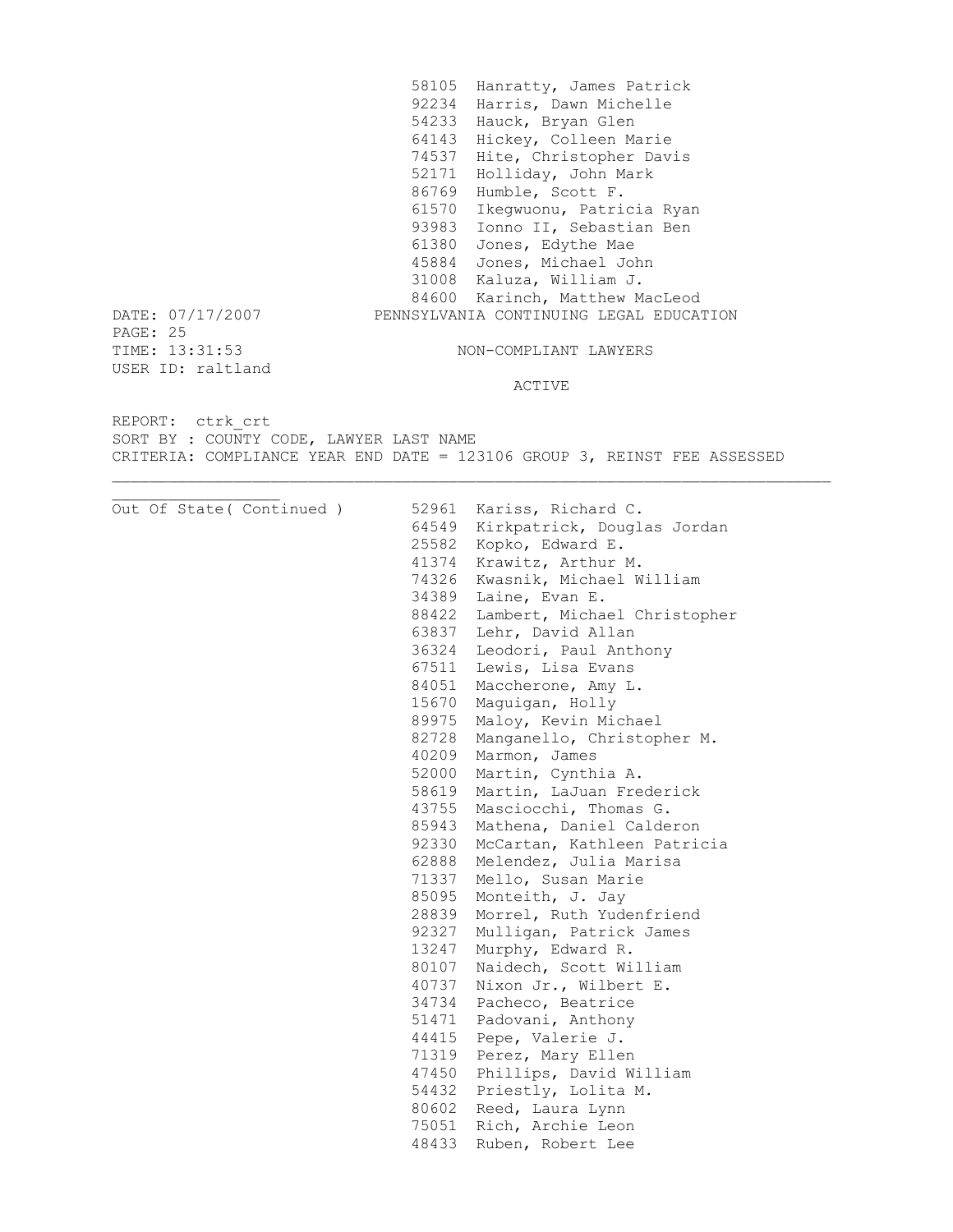58105 Hanratty, James Patrick 92234 Harris, Dawn Michelle 54233 Hauck, Bryan Glen 64143 Hickey, Colleen Marie 74537 Hite, Christopher Davis 52171 Holliday, John Mark 86769 Humble, Scott F. 61570 Ikegwuonu, Patricia Ryan 93983 Ionno II, Sebastian Ben 61380 Jones, Edythe Mae 45884 Jones, Michael John 31008 Kaluza, William J. 84600 Karinch, Matthew MacLeod DATE: 07/17/2007 PENNSYLVANIA CONTINUING LEGAL EDUCATION PAGE: 25<br>TIME: 13:31:53 NON-COMPLIANT LAWYERS USER ID: raltland ACTIVE

REPORT: ctrk\_crt SORT BY : COUNTY CODE, LAWYER LAST NAME CRITERIA: COMPLIANCE YEAR END DATE = 123106 GROUP 3, REINST FEE ASSESSED

|  | Out Of State ( Continued ) | 52961 | Kariss, Richard C.           |
|--|----------------------------|-------|------------------------------|
|  |                            | 64549 | Kirkpatrick, Douglas Jordan  |
|  |                            | 25582 | Kopko, Edward E.             |
|  |                            | 41374 | Krawitz, Arthur M.           |
|  |                            | 74326 | Kwasnik, Michael William     |
|  |                            | 34389 | Laine, Evan E.               |
|  |                            | 88422 | Lambert, Michael Christopher |
|  |                            | 63837 | Lehr, David Allan            |
|  |                            | 36324 | Leodori, Paul Anthony        |
|  |                            | 67511 | Lewis, Lisa Evans            |
|  |                            | 84051 | Maccherone, Amy L.           |
|  |                            | 15670 | Maguigan, Holly              |
|  |                            | 89975 | Maloy, Kevin Michael         |
|  |                            | 82728 | Manganello, Christopher M.   |
|  |                            | 40209 | Marmon, James                |
|  |                            | 52000 | Martin, Cynthia A.           |
|  |                            | 58619 | Martin, LaJuan Frederick     |
|  |                            | 43755 | Masciocchi, Thomas G.        |
|  |                            | 85943 | Mathena, Daniel Calderon     |
|  |                            | 92330 | McCartan, Kathleen Patricia  |
|  |                            | 62888 | Melendez, Julia Marisa       |
|  |                            | 71337 | Mello, Susan Marie           |
|  |                            | 85095 | Monteith, J. Jay             |
|  |                            | 28839 | Morrel, Ruth Yudenfriend     |
|  |                            | 92327 | Mulligan, Patrick James      |
|  |                            | 13247 | Murphy, Edward R.            |
|  |                            | 80107 | Naidech, Scott William       |
|  |                            | 40737 | Nixon Jr., Wilbert E.        |
|  |                            | 34734 | Pacheco, Beatrice            |
|  |                            | 51471 | Padovani, Anthony            |
|  |                            | 44415 | Pepe, Valerie J.             |
|  |                            | 71319 | Perez, Mary Ellen            |
|  |                            | 47450 | Phillips, David William      |
|  |                            | 54432 | Priestly, Lolita M.          |
|  |                            | 80602 | Reed, Laura Lynn             |
|  |                            | 75051 | Rich, Archie Leon            |
|  |                            | 48433 | Ruben, Robert Lee            |
|  |                            |       |                              |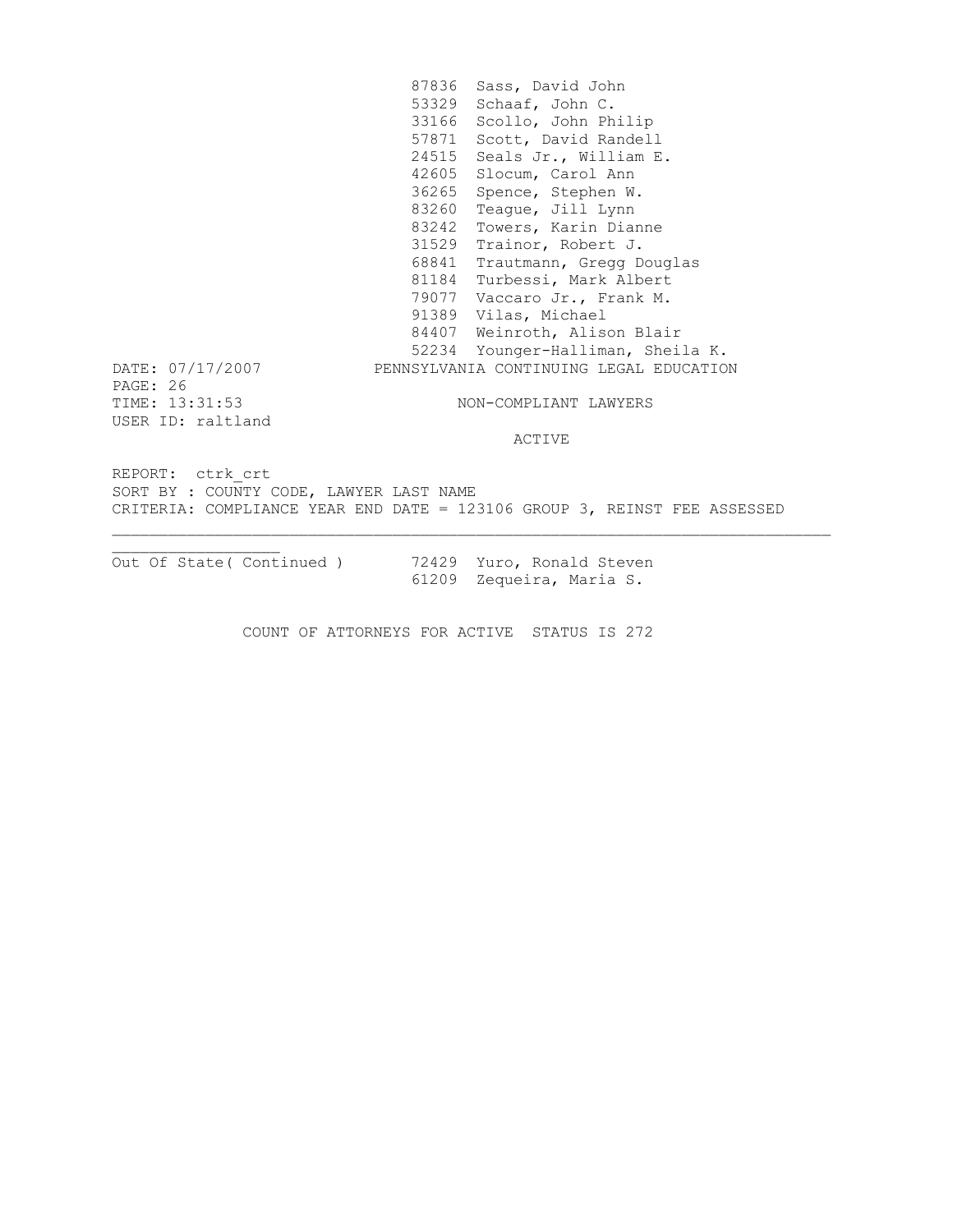87836 Sass, David John 53329 Schaaf, John C. 33166 Scollo, John Philip 57871 Scott, David Randell 24515 Seals Jr., William E. 42605 Slocum, Carol Ann 36265 Spence, Stephen W. 83260 Teague, Jill Lynn 83242 Towers, Karin Dianne 31529 Trainor, Robert J. 68841 Trautmann, Gregg Douglas 81184 Turbessi, Mark Albert 79077 Vaccaro Jr., Frank M. 91389 Vilas, Michael 84407 Weinroth, Alison Blair 52234 Younger-Halliman, Sheila K. DATE: 07/17/2007 PENNSYLVANIA CONTINUING LEGAL EDUCATION PAGE: 26 TIME: 13:31:53 NON-COMPLIANT LAWYERS USER ID: raltland ACTIVE REPORT: ctrk\_crt SORT BY : COUNTY CODE, LAWYER LAST NAME CRITERIA: COMPLIANCE YEAR END DATE = 123106 GROUP 3, REINST FEE ASSESSED

Out Of State( Continued ) 72429 Yuro, Ronald Steven

61209 Zequeira, Maria S.

COUNT OF ATTORNEYS FOR ACTIVE STATUS IS 272